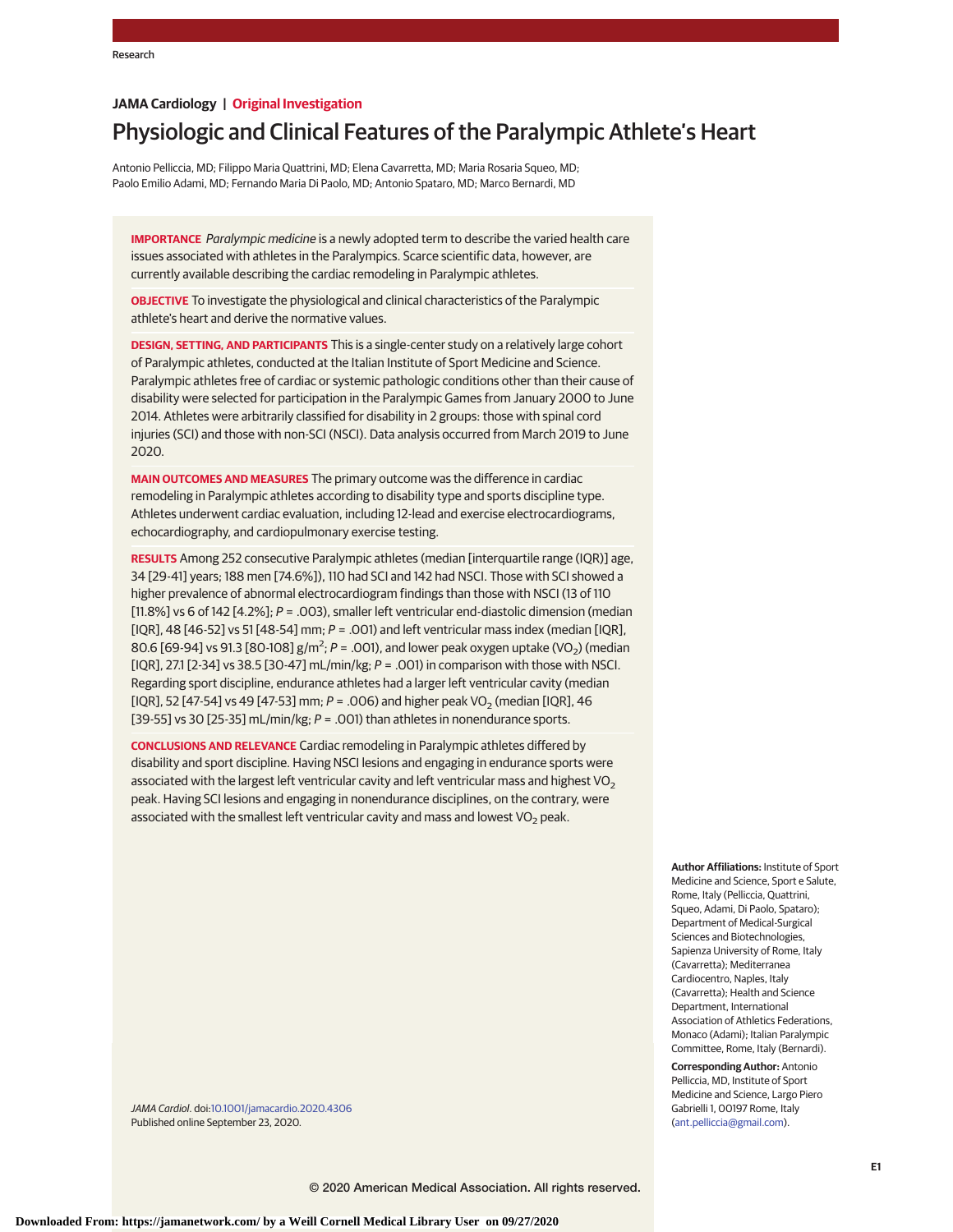# **JAMA Cardiology | Original Investigation**

# Physiologic and Clinical Features of the Paralympic Athlete's Heart

Antonio Pelliccia, MD; Filippo Maria Quattrini, MD; Elena Cavarretta, MD; Maria Rosaria Squeo, MD; Paolo Emilio Adami, MD; Fernando Maria Di Paolo, MD; Antonio Spataro, MD; Marco Bernardi, MD

**IMPORTANCE** Paralympic medicine is a newly adopted term to describe the varied health care issues associated with athletes in the Paralympics. Scarce scientific data, however, are currently available describing the cardiac remodeling in Paralympic athletes.

**OBJECTIVE** To investigate the physiological and clinical characteristics of the Paralympic athlete's heart and derive the normative values.

**DESIGN, SETTING, AND PARTICIPANTS** This is a single-center study on a relatively large cohort of Paralympic athletes, conducted at the Italian Institute of Sport Medicine and Science. Paralympic athletes free of cardiac or systemic pathologic conditions other than their cause of disability were selected for participation in the Paralympic Games from January 2000 to June 2014. Athletes were arbitrarily classified for disability in 2 groups: those with spinal cord injuries (SCI) and those with non-SCI (NSCI). Data analysis occurred from March 2019 to June 2020.

**MAIN OUTCOMES AND MEASURES** The primary outcome was the difference in cardiac remodeling in Paralympic athletes according to disability type and sports discipline type. Athletes underwent cardiac evaluation, including 12-lead and exercise electrocardiograms, echocardiography, and cardiopulmonary exercise testing.

**RESULTS** Among 252 consecutive Paralympic athletes (median [interquartile range (IQR)] age, 34 [29-41] years; 188 men [74.6%]), 110 had SCI and 142 had NSCI. Those with SCI showed a higher prevalence of abnormal electrocardiogram findings than those with NSCI (13 of 110 [11.8%] vs 6 of 142 [4.2%];  $P = .003$ ), smaller left ventricular end-diastolic dimension (median [IQR], 48  $[46-52]$  vs 51  $[48-54]$  mm;  $P = .001$ ) and left ventricular mass index (median  $[1QR]$ , 80.6 [69-94] vs 91.3 [80-108]  $g/m^2$ ; P = .001), and lower peak oxygen uptake (VO<sub>2</sub>) (median [IQR], 27.1 [2-34] vs 38.5 [30-47] mL/min/kg;  $P = .001$ ) in comparison with those with NSCI. Regarding sport discipline, endurance athletes had a larger left ventricular cavity (median [IQR], 52 [47-54] vs 49 [47-53] mm;  $P = 0.006$ ) and higher peak VO<sub>2</sub> (median [IQR], 46 [39-55] vs 30 [25-35] mL/min/kg;  $P = .001$ ) than athletes in nonendurance sports.

**CONCLUSIONS AND RELEVANCE** Cardiac remodeling in Paralympic athletes differed by disability and sport discipline. Having NSCI lesions and engaging in endurance sports were associated with the largest left ventricular cavity and left ventricular mass and highest VO<sub>2</sub> peak. Having SCI lesions and engaging in nonendurance disciplines, on the contrary, were associated with the smallest left ventricular cavity and mass and lowest  $VO<sub>2</sub>$  peak.

> **Author Affiliations:** Institute of Sport Medicine and Science, Sport e Salute, Rome, Italy (Pelliccia, Quattrini, Squeo, Adami, Di Paolo, Spataro); Department of Medical-Surgical Sciences and Biotechnologies, Sapienza University of Rome, Italy (Cavarretta); Mediterranea Cardiocentro, Naples, Italy (Cavarretta); Health and Science Department, International Association of Athletics Federations, Monaco (Adami); Italian Paralympic Committee, Rome, Italy (Bernardi).

**Corresponding Author:** Antonio Pelliccia, MD, Institute of Sport Medicine and Science, Largo Piero Gabrielli 1, 00197 Rome, Italy [\(ant.pelliccia@gmail.com\)](mailto:ant.pelliccia@gmail.com).

JAMA Cardiol. doi[:10.1001/jamacardio.2020.4306](https://jamanetwork.com/journals/jama/fullarticle/10.1001/jamacardio.2020.4306?utm_campaign=articlePDF%26utm_medium=articlePDFlink%26utm_source=articlePDF%26utm_content=jamacardio.2020.4306) Published online September 23, 2020.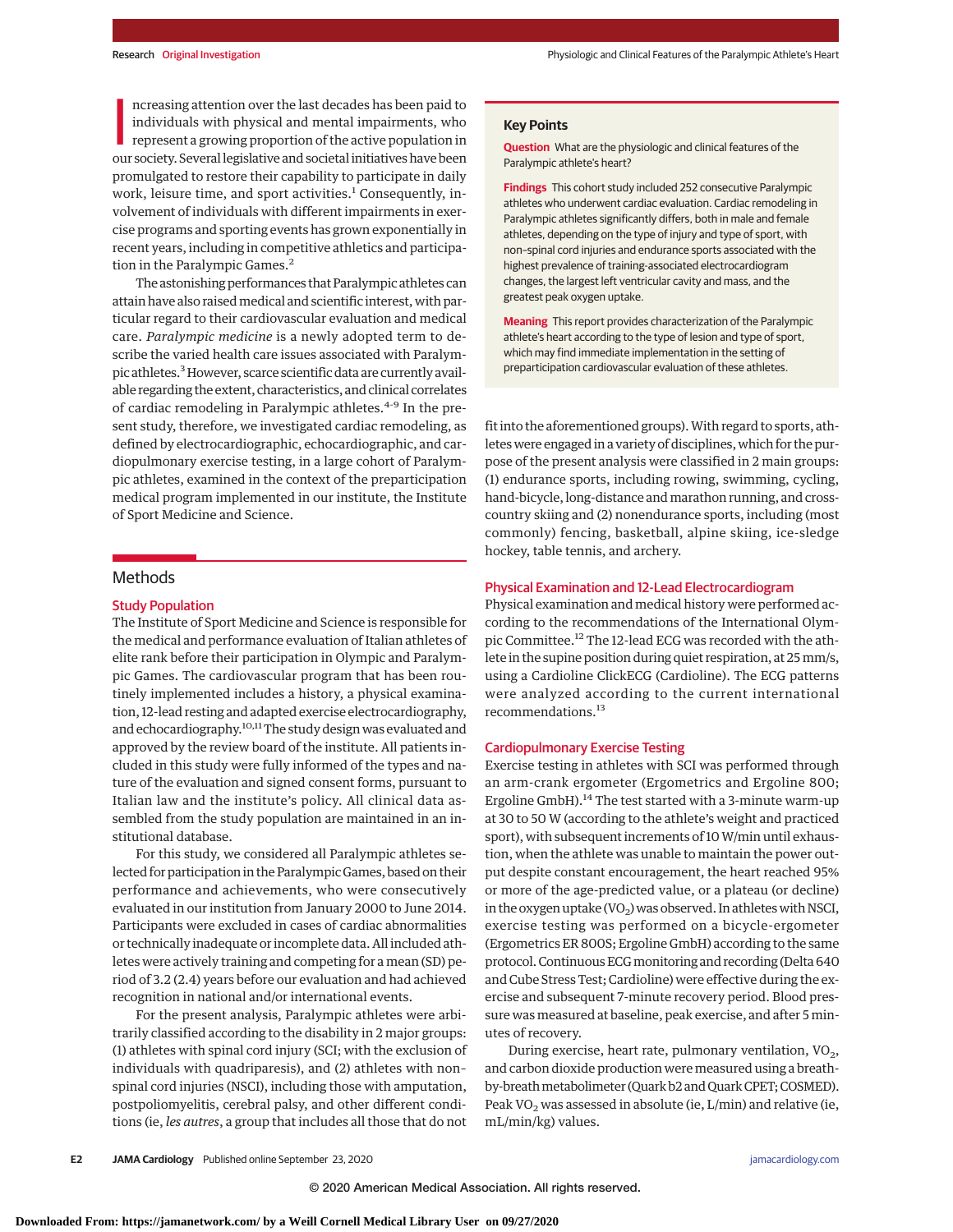ncreasing attention over the last decades has been paid to<br>individuals with physical and mental impairments, who<br>represent a growing proportion of the active population in<br>our society. Several legislative and societal init ncreasing attention over the last decades has been paid to individuals with physical and mental impairments, who represent a growing proportion of the active population in promulgated to restore their capability to participate in daily work, leisure time, and sport activities.<sup>1</sup> Consequently, involvement of individuals with different impairments in exercise programs and sporting events has grown exponentially in recent years, including in competitive athletics and participation in the Paralympic Games.<sup>2</sup>

The astonishing performances that Paralympic athletes can attain have also raisedmedical and scientific interest, with particular regard to their cardiovascular evaluation and medical care. *Paralympic medicine* is a newly adopted term to describe the varied health care issues associated with Paralympic athletes.<sup>3</sup> However, scarce scientific data are currently available regarding the extent, characteristics, and clinical correlates of cardiac remodeling in Paralympic athletes.<sup>4-9</sup> In the present study, therefore, we investigated cardiac remodeling, as defined by electrocardiographic, echocardiographic, and cardiopulmonary exercise testing, in a large cohort of Paralympic athletes, examined in the context of the preparticipation medical program implemented in our institute, the Institute of Sport Medicine and Science.

# **Methods**

## Study Population

The Institute of Sport Medicine and Science is responsible for the medical and performance evaluation of Italian athletes of elite rank before their participation in Olympic and Paralympic Games. The cardiovascular program that has been routinely implemented includes a history, a physical examination, 12-lead resting and adapted exercise electrocardiography, and echocardiography.<sup>10,11</sup>The study design was evaluated and approved by the review board of the institute. All patients included in this study were fully informed of the types and nature of the evaluation and signed consent forms, pursuant to Italian law and the institute's policy. All clinical data assembled from the study population are maintained in an institutional database.

For this study, we considered all Paralympic athletes selected for participation in the Paralympic Games, based on their performance and achievements, who were consecutively evaluated in our institution from January 2000 to June 2014. Participants were excluded in cases of cardiac abnormalities or technically inadequate or incomplete data. All included athletes were actively training and competing for a mean (SD) period of 3.2 (2.4) years before our evaluation and had achieved recognition in national and/or international events.

For the present analysis, Paralympic athletes were arbitrarily classified according to the disability in 2 major groups: (1) athletes with spinal cord injury (SCI; with the exclusion of individuals with quadriparesis), and (2) athletes with non– spinal cord injuries (NSCI), including those with amputation, postpoliomyelitis, cerebral palsy, and other different conditions (ie, *les autres*, a group that includes all those that do not

#### **Key Points**

**Question** What are the physiologic and clinical features of the Paralympic athlete's heart?

**Findings** This cohort study included 252 consecutive Paralympic athletes who underwent cardiac evaluation. Cardiac remodeling in Paralympic athletes significantly differs, both in male and female athletes, depending on the type of injury and type of sport, with non–spinal cord injuries and endurance sports associated with the highest prevalence of training-associated electrocardiogram changes, the largest left ventricular cavity and mass, and the greatest peak oxygen uptake.

**Meaning** This report provides characterization of the Paralympic athlete's heart according to the type of lesion and type of sport, which may find immediate implementation in the setting of preparticipation cardiovascular evaluation of these athletes.

fit into the aforementioned groups). With regard to sports, athletes were engaged in a variety of disciplines, which for the purpose of the present analysis were classified in 2 main groups: (1) endurance sports, including rowing, swimming, cycling, hand-bicycle, long-distance and marathon running, and crosscountry skiing and (2) nonendurance sports, including (most commonly) fencing, basketball, alpine skiing, ice-sledge hockey, table tennis, and archery.

### Physical Examination and 12-Lead Electrocardiogram

Physical examination and medical history were performed according to the recommendations of the International Olympic Committee.<sup>12</sup> The 12-lead ECG was recorded with the athlete in the supine position during quiet respiration, at 25mm/s, using a Cardioline ClickECG (Cardioline). The ECG patterns were analyzed according to the current international recommendations.<sup>13</sup>

#### Cardiopulmonary Exercise Testing

Exercise testing in athletes with SCI was performed through an arm-crank ergometer (Ergometrics and Ergoline 800; Ergoline GmbH).<sup>14</sup> The test started with a 3-minute warm-up at 30 to 50 W (according to the athlete's weight and practiced sport), with subsequent increments of 10 W/min until exhaustion, when the athlete was unable to maintain the power output despite constant encouragement, the heart reached 95% or more of the age-predicted value, or a plateau (or decline) in the oxygen uptake (VO<sub>2</sub>) was observed. In athletes with NSCI, exercise testing was performed on a bicycle-ergometer (Ergometrics ER 800S; Ergoline GmbH) according to the same protocol. Continuous ECG monitoring and recording (Delta 640 and Cube Stress Test; Cardioline) were effective during the exercise and subsequent 7-minute recovery period. Blood pressure was measured at baseline, peak exercise, and after 5 minutes of recovery.

During exercise, heart rate, pulmonary ventilation,  $VO<sub>2</sub>$ , and carbon dioxide production were measured using a breathby-breathmetabolimeter (Quark b2 and Quark CPET; COSMED). Peak VO<sub>2</sub> was assessed in absolute (ie,  $L/min$ ) and relative (ie, mL/min/kg) values.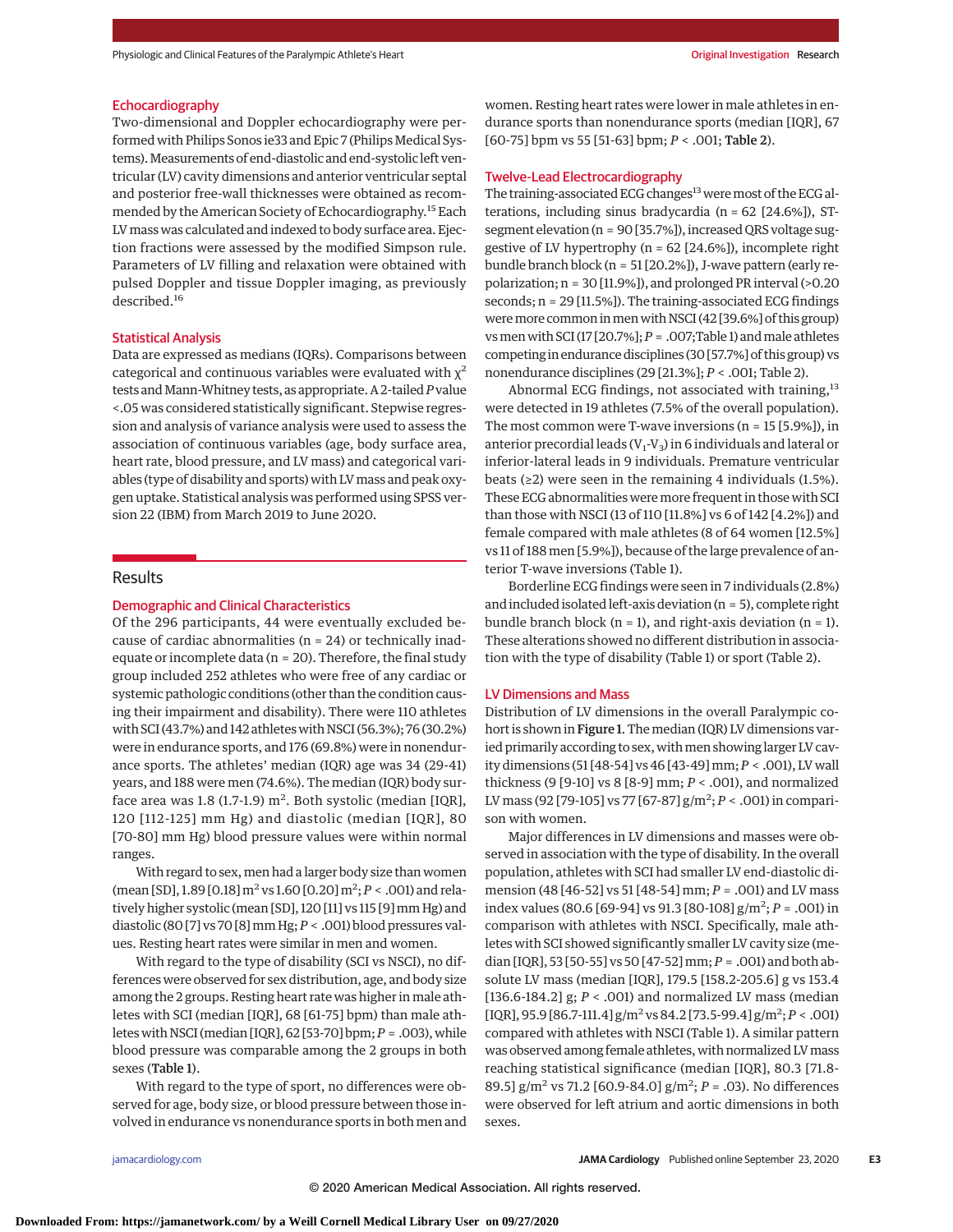#### Echocardiography

Two-dimensional and Doppler echocardiography were performed with Philips Sonos ie33 and Epic 7 (Philips Medical Systems).Measurements of end-diastolic and end-systolic left ventricular (LV) cavity dimensions and anterior ventricular septal and posterior free-wall thicknesses were obtained as recommended by the American Society of Echocardiography.<sup>15</sup> Each LVmass was calculated and indexed to body surface area. Ejection fractions were assessed by the modified Simpson rule. Parameters of LV filling and relaxation were obtained with pulsed Doppler and tissue Doppler imaging, as previously described.<sup>16</sup>

#### Statistical Analysis

Data are expressed as medians (IQRs). Comparisons between categorical and continuous variables were evaluated with  $\chi^2$ tests andMann-Whitney tests, as appropriate. A 2-tailed*P*value <.05 was considered statistically significant. Stepwise regression and analysis of variance analysis were used to assess the association of continuous variables (age, body surface area, heart rate, blood pressure, and LV mass) and categorical variables (type of disability and sports) with LVmass and peak oxygen uptake. Statistical analysis was performed using SPSS version 22 (IBM) from March 2019 to June 2020.

#### Results

### Demographic and Clinical Characteristics

Of the 296 participants, 44 were eventually excluded because of cardiac abnormalities ( $n = 24$ ) or technically inadequate or incomplete data ( $n = 20$ ). Therefore, the final study group included 252 athletes who were free of any cardiac or systemic pathologic conditions (other than the condition causing their impairment and disability). There were 110 athletes with SCI (43.7%) and 142 athletes with NSCI (56.3%); 76 (30.2%) were in endurance sports, and 176 (69.8%) were in nonendurance sports. The athletes' median (IQR) age was 34 (29-41) years, and 188 were men (74.6%). The median (IQR) body surface area was  $1.8$  (1.7-1.9)  $\text{m}^2$ . Both systolic (median [IQR], 120 [112-125] mm Hg) and diastolic (median [IQR], 80 [70-80] mm Hg) blood pressure values were within normal ranges.

With regard to sex, men had a larger body size than women (mean [SD], 1.89 [0.18] m<sup>2</sup> vs 1.60 [0.20] m<sup>2</sup>; *P* < .001) and relatively higher systolic (mean [SD], 120 [11] vs 115 [9] mm Hg) and diastolic (80 [7] vs 70 [8]mm Hg;*P* < .001) blood pressures values. Resting heart rates were similar in men and women.

With regard to the type of disability (SCI vs NSCI), no differences were observed for sex distribution, age, and body size among the 2 groups. Resting heart rate was higher in male athletes with SCI (median [IQR], 68 [61-75] bpm) than male athletes with NSCI (median [IQR], 62 [53-70] bpm;*P* = .003), while blood pressure was comparable among the 2 groups in both sexes (Table 1).

With regard to the type of sport, no differences were observed for age, body size, or blood pressure between those involved in endurance vs nonendurance sports in both men and

women. Resting heart rates were lower in male athletes in endurance sports than nonendurance sports (median [IQR], 67 [60-75] bpm vs 55 [51-63] bpm; *P* < .001; Table 2).

# Twelve-Lead Electrocardiography

The training-associated ECG changes<sup>13</sup> were most of the ECG alterations, including sinus bradycardia (n = 62 [24.6%]), STsegment elevation (n = 90 [35.7%]), increased QRS voltage suggestive of LV hypertrophy (n = 62 [24.6%]), incomplete right bundle branch block (n = 51 [20.2%]), J-wave pattern (early repolarization; n = 30 [11.9%]), and prolonged PR interval (>0.20 seconds; n = 29 [11.5%]). The training-associated ECG findings weremore common inmenwith NSCI (42 [39.6%] of this group) vs men with SCI (17 [20.7%];  $P = .007$ ; Table 1) and male athletes competing in endurance disciplines (30 [57.7%] of this group) vs nonendurance disciplines (29 [21.3%]; *P* < .001; Table 2).

Abnormal ECG findings, not associated with training,<sup>13</sup> were detected in 19 athletes (7.5% of the overall population). The most common were T-wave inversions (n = 15 [5.9%]), in anterior precordial leads ( $V_1$ - $V_3$ ) in 6 individuals and lateral or inferior-lateral leads in 9 individuals. Premature ventricular beats ( $\geq$ 2) were seen in the remaining 4 individuals (1.5%). These ECG abnormalities weremore frequent in those with SCI than those with NSCI (13 of 110 [11.8%] vs 6 of 142 [4.2%]) and female compared with male athletes (8 of 64 women [12.5%] vs 11 of 188 men [5.9%]), because of the large prevalence of anterior T-wave inversions (Table 1).

Borderline ECG findings were seen in 7 individuals (2.8%) and included isolated left-axis deviation (n = 5), complete right bundle branch block ( $n = 1$ ), and right-axis deviation ( $n = 1$ ). These alterations showed no different distribution in association with the type of disability (Table 1) or sport (Table 2).

#### LV Dimensions and Mass

Distribution of LV dimensions in the overall Paralympic cohort is shown in Figure 1. The median (IQR) LV dimensions varied primarily according to sex, with men showing larger LV cavity dimensions (51 [48-54] vs 46 [43-49]mm; *P* < .001), LV wall thickness (9 [9-10] vs 8 [8-9] mm; *P* < .001), and normalized LV mass (92 [79-105] vs 77 [67-87] g/m<sup>2</sup> ; *P* < .001) in comparison with women.

Major differences in LV dimensions and masses were observed in association with the type of disability. In the overall population, athletes with SCI had smaller LV end-diastolic dimension (48 [46-52] vs 51 [48-54] mm; *P* = .001) and LV mass index values (80.6 [69-94] vs 91.3 [80-108] g/m<sup>2</sup> ; *P* = .001) in comparison with athletes with NSCI. Specifically, male athletes with SCI showed significantly smaller LV cavity size (median [IQR], 53 [50-55] vs 50 [47-52] mm; *P* = .001) and both absolute LV mass (median [IQR], 179.5 [158.2-205.6] g vs 153.4 [136.6-184.2] g; *P* < .001) and normalized LV mass (median  $[IQR]$ , 95.9  $[86.7-111.4]$   $g/m^2$  vs 84.2  $[73.5-99.4]$   $g/m^2$ ;  $P < .001$ ) compared with athletes with NSCI (Table 1). A similar pattern was observed among female athletes, with normalized LVmass reaching statistical significance (median [IQR], 80.3 [71.8- 89.5] g/m<sup>2</sup> vs 71.2 [60.9-84.0] g/m<sup>2</sup>; *P* = .03). No differences were observed for left atrium and aortic dimensions in both sexes.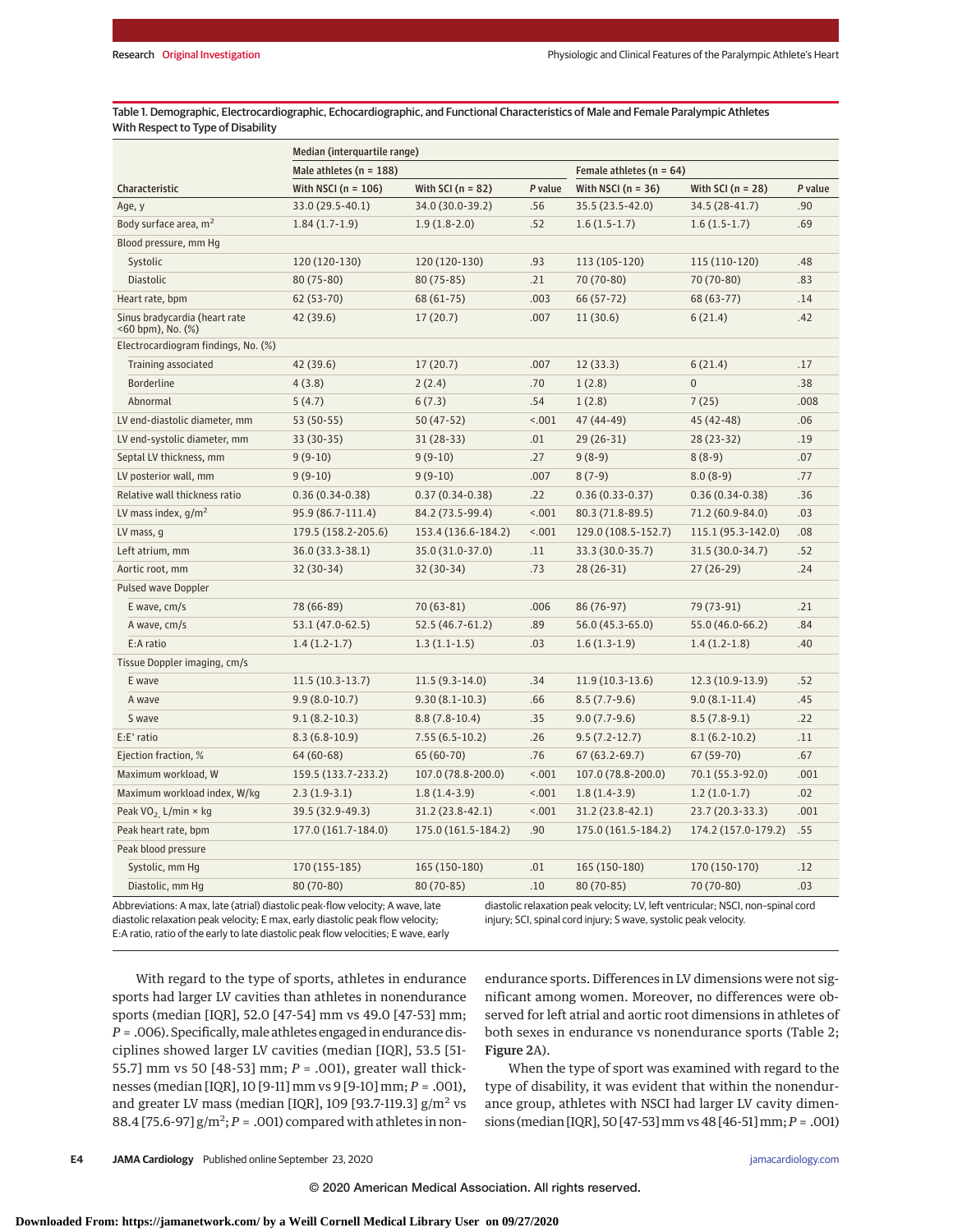Table 1. Demographic, Electrocardiographic, Echocardiographic, and Functional Characteristics of Male and Female Paralympic Athletes With Respect to Type of Disability

| Male athletes ( $n = 188$ )<br>Female athletes ( $n = 64$ )<br>Characteristic<br>With NSCI ( $n = 106$ )<br>With SCI ( $n = 82$ )<br>P value<br>With NSCI ( $n = 36$ )<br>P value<br>With SCI ( $n = 28$ )<br>33.0 (29.5-40.1)<br>34.0 (30.0-39.2)<br>.56<br>35.5 (23.5-42.0)<br>34.5 (28-41.7)<br>.90<br>Age, y<br>Body surface area, m <sup>2</sup><br>.69<br>$1.84(1.7-1.9)$<br>$1.9(1.8-2.0)$<br>.52<br>$1.6(1.5-1.7)$<br>$1.6(1.5-1.7)$<br>Blood pressure, mm Hg<br>Systolic<br>120 (120-130)<br>120 (120-130)<br>.93<br>113 (105-120)<br>115 (110-120)<br>.48<br>70 (70-80)<br><b>Diastolic</b><br>80 (75-80)<br>$80(75-85)$<br>.21<br>70 (70-80)<br>.83<br>Heart rate, bpm<br>62 (53-70)<br>68 (61-75)<br>.003<br>66 (57-72)<br>68 (63-77)<br>.14<br>Sinus bradycardia (heart rate<br>.007<br>11(30.6)<br>.42<br>42 (39.6)<br>17(20.7)<br>6(21.4)<br>$<$ 60 bpm), No. $(\%)$<br>Electrocardiogram findings, No. (%)<br>.17<br>Training associated<br>42 (39.6)<br>17(20.7)<br>.007<br>12(33.3)<br>6(21.4)<br>$\overline{0}$<br><b>Borderline</b><br>4(3.8)<br>2(2.4)<br>.70<br>1(2.8)<br>.38 |
|-----------------------------------------------------------------------------------------------------------------------------------------------------------------------------------------------------------------------------------------------------------------------------------------------------------------------------------------------------------------------------------------------------------------------------------------------------------------------------------------------------------------------------------------------------------------------------------------------------------------------------------------------------------------------------------------------------------------------------------------------------------------------------------------------------------------------------------------------------------------------------------------------------------------------------------------------------------------------------------------------------------------------------------------------------------------------------------------------------|
|                                                                                                                                                                                                                                                                                                                                                                                                                                                                                                                                                                                                                                                                                                                                                                                                                                                                                                                                                                                                                                                                                                     |
|                                                                                                                                                                                                                                                                                                                                                                                                                                                                                                                                                                                                                                                                                                                                                                                                                                                                                                                                                                                                                                                                                                     |
|                                                                                                                                                                                                                                                                                                                                                                                                                                                                                                                                                                                                                                                                                                                                                                                                                                                                                                                                                                                                                                                                                                     |
|                                                                                                                                                                                                                                                                                                                                                                                                                                                                                                                                                                                                                                                                                                                                                                                                                                                                                                                                                                                                                                                                                                     |
|                                                                                                                                                                                                                                                                                                                                                                                                                                                                                                                                                                                                                                                                                                                                                                                                                                                                                                                                                                                                                                                                                                     |
|                                                                                                                                                                                                                                                                                                                                                                                                                                                                                                                                                                                                                                                                                                                                                                                                                                                                                                                                                                                                                                                                                                     |
|                                                                                                                                                                                                                                                                                                                                                                                                                                                                                                                                                                                                                                                                                                                                                                                                                                                                                                                                                                                                                                                                                                     |
|                                                                                                                                                                                                                                                                                                                                                                                                                                                                                                                                                                                                                                                                                                                                                                                                                                                                                                                                                                                                                                                                                                     |
|                                                                                                                                                                                                                                                                                                                                                                                                                                                                                                                                                                                                                                                                                                                                                                                                                                                                                                                                                                                                                                                                                                     |
|                                                                                                                                                                                                                                                                                                                                                                                                                                                                                                                                                                                                                                                                                                                                                                                                                                                                                                                                                                                                                                                                                                     |
|                                                                                                                                                                                                                                                                                                                                                                                                                                                                                                                                                                                                                                                                                                                                                                                                                                                                                                                                                                                                                                                                                                     |
|                                                                                                                                                                                                                                                                                                                                                                                                                                                                                                                                                                                                                                                                                                                                                                                                                                                                                                                                                                                                                                                                                                     |
| Abnormal<br>6(7.3)<br>.54<br>1(2.8)<br>7(25)<br>.008<br>5(4.7)                                                                                                                                                                                                                                                                                                                                                                                                                                                                                                                                                                                                                                                                                                                                                                                                                                                                                                                                                                                                                                      |
| LV end-diastolic diameter, mm<br>53 (50-55)<br>$50(47-52)$<br>< .001<br>47 (44-49)<br>45 (42-48)<br>.06                                                                                                                                                                                                                                                                                                                                                                                                                                                                                                                                                                                                                                                                                                                                                                                                                                                                                                                                                                                             |
| LV end-systolic diameter, mm<br>.01<br>$29(26-31)$<br>$28(23-32)$<br>.19<br>33 (30-35)<br>$31(28-33)$                                                                                                                                                                                                                                                                                                                                                                                                                                                                                                                                                                                                                                                                                                                                                                                                                                                                                                                                                                                               |
| .27<br>.07<br>$9(9-10)$<br>$9(9-10)$<br>$9(8-9)$<br>$8(8-9)$<br>Septal LV thickness, mm                                                                                                                                                                                                                                                                                                                                                                                                                                                                                                                                                                                                                                                                                                                                                                                                                                                                                                                                                                                                             |
| LV posterior wall, mm<br>.007<br>$8(7-9)$<br>.77<br>$9(9-10)$<br>$9(9-10)$<br>$8.0(8-9)$                                                                                                                                                                                                                                                                                                                                                                                                                                                                                                                                                                                                                                                                                                                                                                                                                                                                                                                                                                                                            |
| Relative wall thickness ratio<br>.22<br>$0.36(0.34-0.38)$<br>$0.37(0.34-0.38)$<br>$0.36(0.33 - 0.37)$<br>$0.36(0.34-0.38)$<br>.36                                                                                                                                                                                                                                                                                                                                                                                                                                                                                                                                                                                                                                                                                                                                                                                                                                                                                                                                                                   |
| LV mass index, $q/m^2$<br>< .001<br>.03<br>95.9 (86.7-111.4)<br>84.2 (73.5-99.4)<br>80.3 (71.8-89.5)<br>71.2 (60.9-84.0)                                                                                                                                                                                                                                                                                                                                                                                                                                                                                                                                                                                                                                                                                                                                                                                                                                                                                                                                                                            |
| LV mass, g<br>179.5 (158.2-205.6)<br>153.4 (136.6-184.2)<br>< .001<br>129.0 (108.5-152.7)<br>115.1 (95.3-142.0)<br>.08                                                                                                                                                                                                                                                                                                                                                                                                                                                                                                                                                                                                                                                                                                                                                                                                                                                                                                                                                                              |
| .11<br>31.5 (30.0-34.7)<br>.52<br>Left atrium, mm<br>36.0 (33.3-38.1)<br>35.0 (31.0-37.0)<br>33.3 (30.0-35.7)                                                                                                                                                                                                                                                                                                                                                                                                                                                                                                                                                                                                                                                                                                                                                                                                                                                                                                                                                                                       |
| 32 (30-34)<br>32 (30-34)<br>.73<br>$28(26-31)$<br>$27(26-29)$<br>.24<br>Aortic root, mm                                                                                                                                                                                                                                                                                                                                                                                                                                                                                                                                                                                                                                                                                                                                                                                                                                                                                                                                                                                                             |
| <b>Pulsed wave Doppler</b>                                                                                                                                                                                                                                                                                                                                                                                                                                                                                                                                                                                                                                                                                                                                                                                                                                                                                                                                                                                                                                                                          |
| E wave, cm/s<br>.21<br>78 (66-89)<br>$70(63-81)$<br>.006<br>86 (76-97)<br>79 (73-91)                                                                                                                                                                                                                                                                                                                                                                                                                                                                                                                                                                                                                                                                                                                                                                                                                                                                                                                                                                                                                |
| A wave, cm/s<br>53.1 (47.0-62.5)<br>52.5 (46.7-61.2)<br>.89<br>56.0 (45.3-65.0)<br>55.0 (46.0-66.2)<br>.84                                                                                                                                                                                                                                                                                                                                                                                                                                                                                                                                                                                                                                                                                                                                                                                                                                                                                                                                                                                          |
| E:A ratio<br>.03<br>.40<br>$1.4(1.2-1.7)$<br>$1.3(1.1-1.5)$<br>$1.6(1.3-1.9)$<br>$1.4(1.2-1.8)$                                                                                                                                                                                                                                                                                                                                                                                                                                                                                                                                                                                                                                                                                                                                                                                                                                                                                                                                                                                                     |
| Tissue Doppler imaging, cm/s                                                                                                                                                                                                                                                                                                                                                                                                                                                                                                                                                                                                                                                                                                                                                                                                                                                                                                                                                                                                                                                                        |
| $11.5(10.3-13.7)$<br>$11.5(9.3-14.0)$<br>$11.9(10.3-13.6)$<br>12.3 (10.9-13.9)<br>.52<br>E wave<br>.34                                                                                                                                                                                                                                                                                                                                                                                                                                                                                                                                                                                                                                                                                                                                                                                                                                                                                                                                                                                              |
| .45<br>$9.9(8.0-10.7)$<br>$9.30(8.1 - 10.3)$<br>.66<br>$8.5(7.7-9.6)$<br>$9.0(8.1-11.4)$<br>A wave                                                                                                                                                                                                                                                                                                                                                                                                                                                                                                                                                                                                                                                                                                                                                                                                                                                                                                                                                                                                  |
| S wave<br>$9.1(8.2-10.3)$<br>$8.8(7.8-10.4)$<br>.35<br>$9.0(7.7-9.6)$<br>$8.5(7.8-9.1)$<br>.22                                                                                                                                                                                                                                                                                                                                                                                                                                                                                                                                                                                                                                                                                                                                                                                                                                                                                                                                                                                                      |
| E:E' ratio<br>$8.3(6.8-10.9)$<br>$7.55(6.5-10.2)$<br>.26<br>$9.5(7.2-12.7)$<br>$8.1(6.2-10.2)$<br>.11                                                                                                                                                                                                                                                                                                                                                                                                                                                                                                                                                                                                                                                                                                                                                                                                                                                                                                                                                                                               |
| 65 (60-70)<br>.76<br>$67(63.2-69.7)$<br>67 (59-70)<br>.67<br>Ejection fraction, %<br>64 (60-68)                                                                                                                                                                                                                                                                                                                                                                                                                                                                                                                                                                                                                                                                                                                                                                                                                                                                                                                                                                                                     |
| Maximum workload, W<br>159.5 (133.7-233.2)<br>107.0 (78.8-200.0)<br>< .001<br>107.0 (78.8-200.0)<br>70.1 (55.3-92.0)<br>.001                                                                                                                                                                                                                                                                                                                                                                                                                                                                                                                                                                                                                                                                                                                                                                                                                                                                                                                                                                        |
| Maximum workload index, W/kg<br>< .001<br>$1.8(1.4-3.9)$<br>.02<br>$2.3(1.9-3.1)$<br>$1.8(1.4-3.9)$<br>$1.2(1.0-1.7)$                                                                                                                                                                                                                                                                                                                                                                                                                                                                                                                                                                                                                                                                                                                                                                                                                                                                                                                                                                               |
| 39.5 (32.9-49.3)<br>31.2 (23.8-42.1)<br>1001<br>31.2 (23.8-42.1)<br>23.7 (20.3-33.3)<br>.001<br>Peak VO <sub>2.</sub> L/min $\times$ kg                                                                                                                                                                                                                                                                                                                                                                                                                                                                                                                                                                                                                                                                                                                                                                                                                                                                                                                                                             |
| .90<br>Peak heart rate, bpm<br>177.0 (161.7-184.0)<br>175.0 (161.5-184.2)<br>175.0 (161.5-184.2)<br>174.2 (157.0-179.2)<br>.55                                                                                                                                                                                                                                                                                                                                                                                                                                                                                                                                                                                                                                                                                                                                                                                                                                                                                                                                                                      |
| Peak blood pressure                                                                                                                                                                                                                                                                                                                                                                                                                                                                                                                                                                                                                                                                                                                                                                                                                                                                                                                                                                                                                                                                                 |
| Systolic, mm Hg<br>170 (155-185)<br>165 (150-180)<br>.01<br>165 (150-180)<br>170 (150-170)<br>.12                                                                                                                                                                                                                                                                                                                                                                                                                                                                                                                                                                                                                                                                                                                                                                                                                                                                                                                                                                                                   |
| .10<br>80 (70-85)<br>70 (70-80)<br>.03<br>Diastolic, mm Hg<br>80 (70-80)<br>80 (70-85)                                                                                                                                                                                                                                                                                                                                                                                                                                                                                                                                                                                                                                                                                                                                                                                                                                                                                                                                                                                                              |

Abbreviations: A max, late (atrial) diastolic peak-flow velocity; A wave, late diastolic relaxation peak velocity; E max, early diastolic peak flow velocity; E:A ratio, ratio of the early to late diastolic peak flow velocities; E wave, early diastolic relaxation peak velocity; LV, left ventricular; NSCI, non–spinal cord injury; SCI, spinal cord injury; S wave, systolic peak velocity.

With regard to the type of sports, athletes in endurance sports had larger LV cavities than athletes in nonendurance sports (median [IQR], 52.0 [47-54] mm vs 49.0 [47-53] mm; *P* = .006). Specifically,male athletes engaged in endurance disciplines showed larger LV cavities (median [IQR], 53.5 [51- 55.7] mm vs 50 [48-53] mm; *P* = .001), greater wall thicknesses (median [IQR], 10 [9-11] mm vs 9 [9-10] mm; *P* = .001), and greater LV mass (median [IQR], 109 [93.7-119.3]  $g/m^2$  vs 88.4 [75.6-97]  $g/m^2$ ;  $P = .001$ ) compared with athletes in nonendurance sports. Differences in LV dimensions were not significant among women. Moreover, no differences were observed for left atrial and aortic root dimensions in athletes of both sexes in endurance vs nonendurance sports (Table 2; Figure 2A).

When the type of sport was examined with regard to the type of disability, it was evident that within the nonendurance group, athletes with NSCI had larger LV cavity dimensions (median [IQR], 50 [47-53]mm vs 48 [46-51]mm;*P* = .001)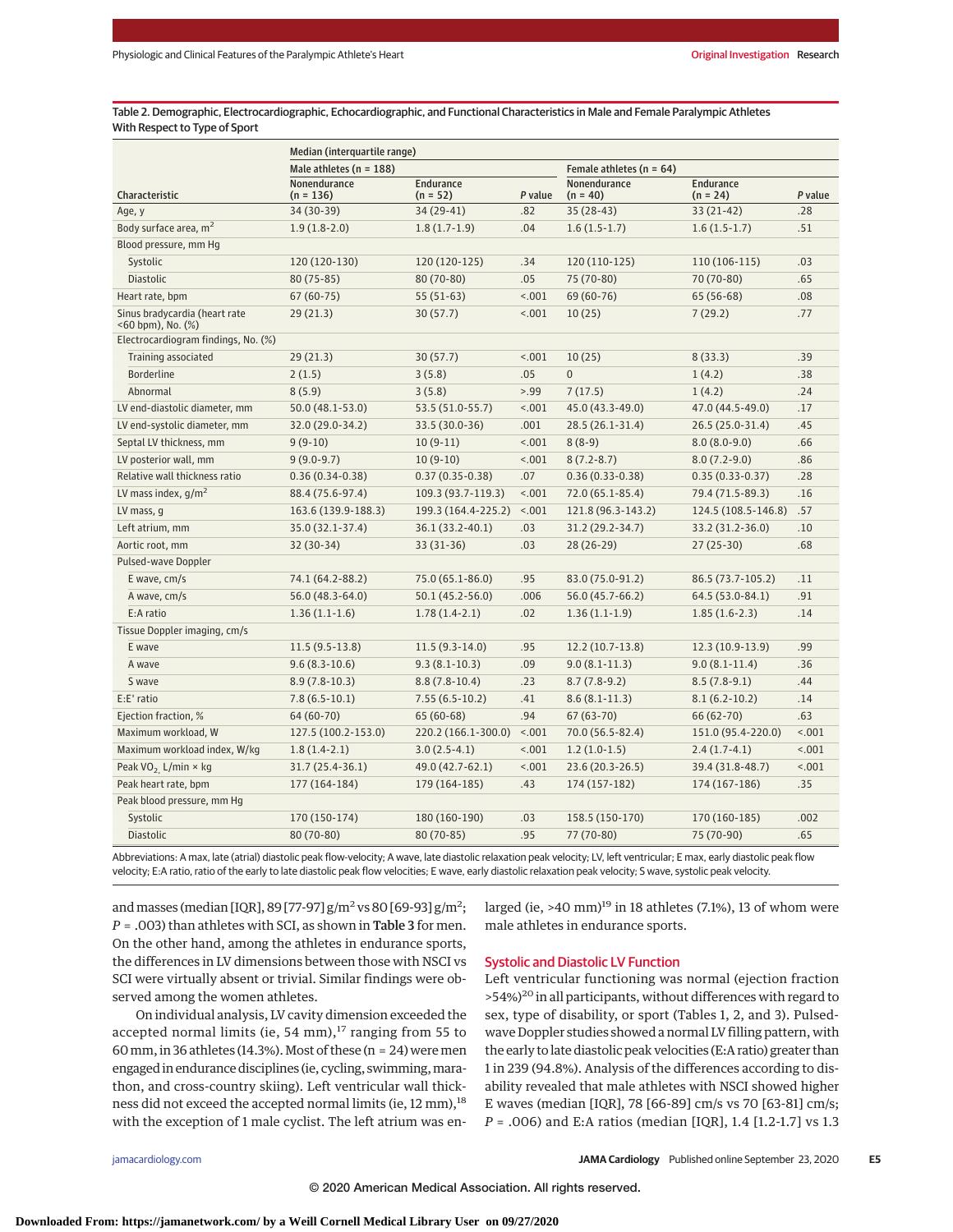Table 2. Demographic, Electrocardiographic, Echocardiographic, and Functional Characteristics in Male and Female Paralympic Athletes With Respect to Type of Sport

|                                                          | Median (interquartile range) |                                |         |                              |                                |         |  |  |  |
|----------------------------------------------------------|------------------------------|--------------------------------|---------|------------------------------|--------------------------------|---------|--|--|--|
|                                                          | Male athletes ( $n = 188$ )  |                                |         | Female athletes ( $n = 64$ ) |                                |         |  |  |  |
| Characteristic                                           | Nonendurance<br>$(n = 136)$  | <b>Endurance</b><br>$(n = 52)$ | P value | Nonendurance<br>$(n = 40)$   | <b>Endurance</b><br>$(n = 24)$ | P value |  |  |  |
| Age, y                                                   | 34 (30-39)                   | 34 (29-41)                     | .82     | 35 (28-43)                   | $33(21-42)$                    | .28     |  |  |  |
| Body surface area, m <sup>2</sup>                        | $1.9(1.8-2.0)$               | $1.8(1.7-1.9)$                 | .04     | $1.6(1.5-1.7)$               | $1.6(1.5-1.7)$                 | .51     |  |  |  |
| Blood pressure, mm Hg                                    |                              |                                |         |                              |                                |         |  |  |  |
| Systolic                                                 | 120 (120-130)                | 120 (120-125)                  | .34     | 120 (110-125)                | 110 (106-115)                  | .03     |  |  |  |
| <b>Diastolic</b>                                         | $80(75-85)$                  | 80 (70-80)                     | .05     | 75 (70-80)                   | 70 (70-80)                     | .65     |  |  |  |
| Heart rate, bpm                                          | $67(60-75)$                  | $55(51-63)$                    | < .001  | 69 (60-76)                   | $65(56-68)$                    | .08     |  |  |  |
| Sinus bradycardia (heart rate<br>$<$ 60 bpm), No. $(\%)$ | 29(21.3)                     | 30(57.7)                       | < .001  | 10(25)                       | 7(29.2)                        | .77     |  |  |  |
| Electrocardiogram findings, No. (%)                      |                              |                                |         |                              |                                |         |  |  |  |
| Training associated                                      | 29(21.3)                     | 30(57.7)                       | < .001  | 10(25)                       | 8(33.3)                        | .39     |  |  |  |
| <b>Borderline</b>                                        | 2(1.5)                       | 3(5.8)                         | .05     | $\overline{0}$               | 1(4.2)                         | .38     |  |  |  |
| Abnormal                                                 | 8(5.9)                       | 3(5.8)                         | > 0.99  | 7(17.5)                      | 1(4.2)                         | .24     |  |  |  |
| LV end-diastolic diameter, mm                            | $50.0(48.1 - 53.0)$          | 53.5 (51.0-55.7)               | < .001  | 45.0 (43.3-49.0)             | 47.0 (44.5-49.0)               | .17     |  |  |  |
| LV end-systolic diameter, mm                             | 32.0 (29.0-34.2)             | 33.5 (30.0-36)                 | .001    | 28.5 (26.1-31.4)             | 26.5 (25.0-31.4)               | .45     |  |  |  |
| Septal LV thickness, mm                                  | $9(9-10)$                    | $10(9-11)$                     | < .001  | $8(8-9)$                     | $8.0(8.0-9.0)$                 | .66     |  |  |  |
| LV posterior wall, mm                                    | $9(9.0-9.7)$                 | $10(9-10)$                     | < .001  | $8(7.2 - 8.7)$               | $8.0(7.2-9.0)$                 | .86     |  |  |  |
| Relative wall thickness ratio                            | $0.36(0.34-0.38)$            | $0.37(0.35-0.38)$              | .07     | $0.36(0.33 - 0.38)$          | $0.35(0.33 - 0.37)$            | .28     |  |  |  |
| LV mass index, $q/m^2$                                   | 88.4 (75.6-97.4)             | 109.3 (93.7-119.3)             | < .001  | 72.0 (65.1-85.4)             | 79.4 (71.5-89.3)               | .16     |  |  |  |
| LV mass, g                                               | 163.6 (139.9-188.3)          | 199.3 (164.4-225.2)            | < .001  | 121.8 (96.3-143.2)           | 124.5 (108.5-146.8)            | .57     |  |  |  |
| Left atrium, mm                                          | 35.0 (32.1-37.4)             | 36.1 (33.2-40.1)               | .03     | 31.2 (29.2-34.7)             | 33.2 (31.2-36.0)               | .10     |  |  |  |
| Aortic root, mm                                          | 32 (30-34)                   | 33 (31-36)                     | .03     | 28 (26-29)                   | $27(25-30)$                    | .68     |  |  |  |
| Pulsed-wave Doppler                                      |                              |                                |         |                              |                                |         |  |  |  |
| E wave, cm/s                                             | 74.1 (64.2-88.2)             | 75.0 (65.1-86.0)               | .95     | 83.0 (75.0-91.2)             | 86.5 (73.7-105.2)              | .11     |  |  |  |
| A wave, cm/s                                             | 56.0 (48.3-64.0)             | $50.1(45.2 - 56.0)$            | .006    | 56.0 (45.7-66.2)             | 64.5 (53.0-84.1)               | .91     |  |  |  |
| E:A ratio                                                | $1.36(1.1-1.6)$              | $1.78(1.4-2.1)$                | .02     | $1.36(1.1-1.9)$              | $1.85(1.6-2.3)$                | .14     |  |  |  |
| Tissue Doppler imaging, cm/s                             |                              |                                |         |                              |                                |         |  |  |  |
| E wave                                                   | $11.5(9.5-13.8)$             | $11.5(9.3-14.0)$               | .95     | 12.2 (10.7-13.8)             | 12.3 (10.9-13.9)               | .99     |  |  |  |
| A wave                                                   | $9.6(8.3-10.6)$              | $9.3(8.1-10.3)$                | .09     | $9.0(8.1 - 11.3)$            | $9.0(8.1-11.4)$                | .36     |  |  |  |
| S wave                                                   | $8.9(7.8-10.3)$              | $8.8(7.8-10.4)$                | .23     | $8.7(7.8-9.2)$               | $8.5(7.8-9.1)$                 | .44     |  |  |  |
| $E: E'$ ratio                                            | $7.8(6.5-10.1)$              | $7.55(6.5-10.2)$               | .41     | $8.6(8.1-11.3)$              | $8.1(6.2-10.2)$                | .14     |  |  |  |
| Ejection fraction, %                                     | 64 (60-70)                   | $65(60-68)$                    | .94     | $67(63-70)$                  | 66 (62-70)                     | .63     |  |  |  |
| Maximum workload, W                                      | 127.5 (100.2-153.0)          | 220.2 (166.1-300.0)            | < 0.001 | 70.0 (56.5-82.4)             | 151.0 (95.4-220.0)             | < .001  |  |  |  |
| Maximum workload index, W/kg                             | $1.8(1.4-2.1)$               | $3.0(2.5-4.1)$                 | < .001  | $1.2(1.0-1.5)$               | $2.4(1.7-4.1)$                 | < .001  |  |  |  |
| Peak $VO_2$ L/min $\times$ kg                            | 31.7 (25.4-36.1)             | 49.0 (42.7-62.1)               | < .001  | 23.6 (20.3-26.5)             | 39.4 (31.8-48.7)               | < .001  |  |  |  |
| Peak heart rate, bpm                                     | 177 (164-184)                | 179 (164-185)                  | .43     | 174 (157-182)                | 174 (167-186)                  | .35     |  |  |  |
| Peak blood pressure, mm Hg                               |                              |                                |         |                              |                                |         |  |  |  |
| Systolic                                                 | 170 (150-174)                | 180 (160-190)                  | .03     | 158.5 (150-170)              | 170 (160-185)                  | .002    |  |  |  |
| <b>Diastolic</b>                                         | 80 (70-80)                   | 80 (70-85)                     | .95     | 77 (70-80)                   | 75 (70-90)                     | .65     |  |  |  |
|                                                          |                              |                                |         |                              |                                |         |  |  |  |

Abbreviations: A max, late (atrial) diastolic peak flow-velocity; A wave, late diastolic relaxation peak velocity; LV, left ventricular; E max, early diastolic peak flow velocity; E:A ratio, ratio of the early to late diastolic peak flow velocities; E wave, early diastolic relaxation peak velocity; S wave, systolic peak velocity.

and masses (median [IQR], 89 [77-97]  $\rm g/m^2$  vs 80 [69-93]  $\rm g/m^2$ ; *P* = .003) than athletes with SCI, as shown in Table 3 for men. On the other hand, among the athletes in endurance sports, the differences in LV dimensions between those with NSCI vs SCI were virtually absent or trivial. Similar findings were observed among the women athletes.

On individual analysis, LV cavity dimension exceeded the accepted normal limits (ie, 54 mm), $17$  ranging from 55 to 60 mm, in 36 athletes (14.3%). Most of these ( $n = 24$ ) were men engaged in endurance disciplines (ie, cycling, swimming, marathon, and cross-country skiing). Left ventricular wall thickness did not exceed the accepted normal limits (ie, 12 mm),<sup>18</sup> with the exception of 1 male cyclist. The left atrium was enlarged (ie,  $>40$  mm)<sup>19</sup> in 18 athletes (7.1%), 13 of whom were male athletes in endurance sports.

#### Systolic and Diastolic LV Function

Left ventricular functioning was normal (ejection fraction >54%)<sup>20</sup> in all participants, without differences with regard to sex, type of disability, or sport (Tables 1, 2, and 3). Pulsedwave Doppler studies showed a normal LV filling pattern, with the early to late diastolic peak velocities (E:A ratio) greater than 1 in 239 (94.8%). Analysis of the differences according to disability revealed that male athletes with NSCI showed higher E waves (median [IQR], 78 [66-89] cm/s vs 70 [63-81] cm/s; *P* = .006) and E:A ratios (median [IQR], 1.4 [1.2-1.7] vs 1.3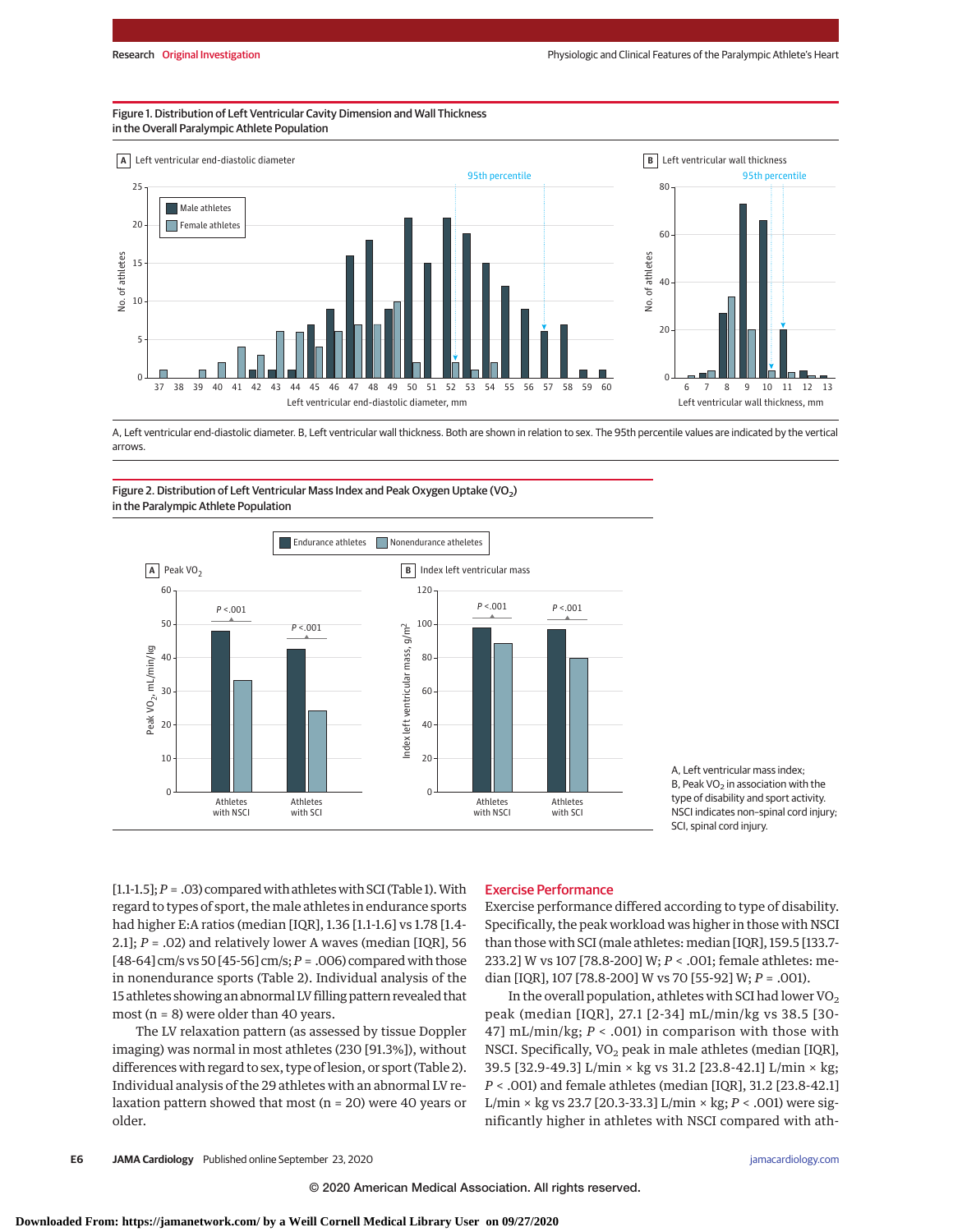#### Figure 1. Distribution of Left Ventricular Cavity Dimension and Wall Thickness in the Overall Paralympic Athlete Population



A, Left ventricular end-diastolic diameter. B, Left ventricular wall thickness. Both are shown in relation to sex. The 95th percentile values are indicated by the vertical arrows.

#### Figure 2. Distribution of Left Ventricular Mass Index and Peak Oxygen Uptake (VO<sub>2</sub>) in the Paralympic Athlete Population



A, Left ventricular mass index; B, Peak  $VO<sub>2</sub>$  in association with the type of disability and sport activity. NSCI indicates non–spinal cord injury; SCI, spinal cord injury.

[1.1-1.5];  $P = .03$ ) compared with athletes with SCI (Table 1). With regard to types of sport, the male athletes in endurance sports had higher E:A ratios (median [IQR], 1.36 [1.1-1.6] vs 1.78 [1.4- 2.1]; *P* = .02) and relatively lower A waves (median [IQR], 56 [48-64] cm/s vs 50 [45-56] cm/s;*P* = .006) comparedwith those in nonendurance sports (Table 2). Individual analysis of the 15 athletes showing an abnormal LV filling pattern revealed that most ( $n = 8$ ) were older than 40 years.

The LV relaxation pattern (as assessed by tissue Doppler imaging) was normal in most athletes (230 [91.3%]), without differences with regard to sex, type of lesion, or sport (Table 2). Individual analysis of the 29 athletes with an abnormal LV relaxation pattern showed that most ( $n = 20$ ) were 40 years or older.

#### Exercise Performance

Exercise performance differed according to type of disability. Specifically, the peak workload was higher in those with NSCI than those with SCI (male athletes: median [IQR], 159.5 [133.7- 233.2] W vs 107 [78.8-200] W; *P* < .001; female athletes: median [IQR], 107 [78.8-200] W vs 70 [55-92] W; *P* = .001).

In the overall population, athletes with SCI had lower  $VO<sub>2</sub>$ peak (median [IQR], 27.1 [2-34] mL/min/kg vs 38.5 [30- 47] mL/min/kg; *P* < .001) in comparison with those with NSCI. Specifically,  $VO<sub>2</sub>$  peak in male athletes (median [IQR], 39.5 [32.9-49.3] L/min × kg vs 31.2 [23.8-42.1] L/min × kg; *P* < .001) and female athletes (median [IQR], 31.2 [23.8-42.1] L/min × kg vs 23.7 [20.3-33.3] L/min × kg; *P* < .001) were significantly higher in athletes with NSCI compared with ath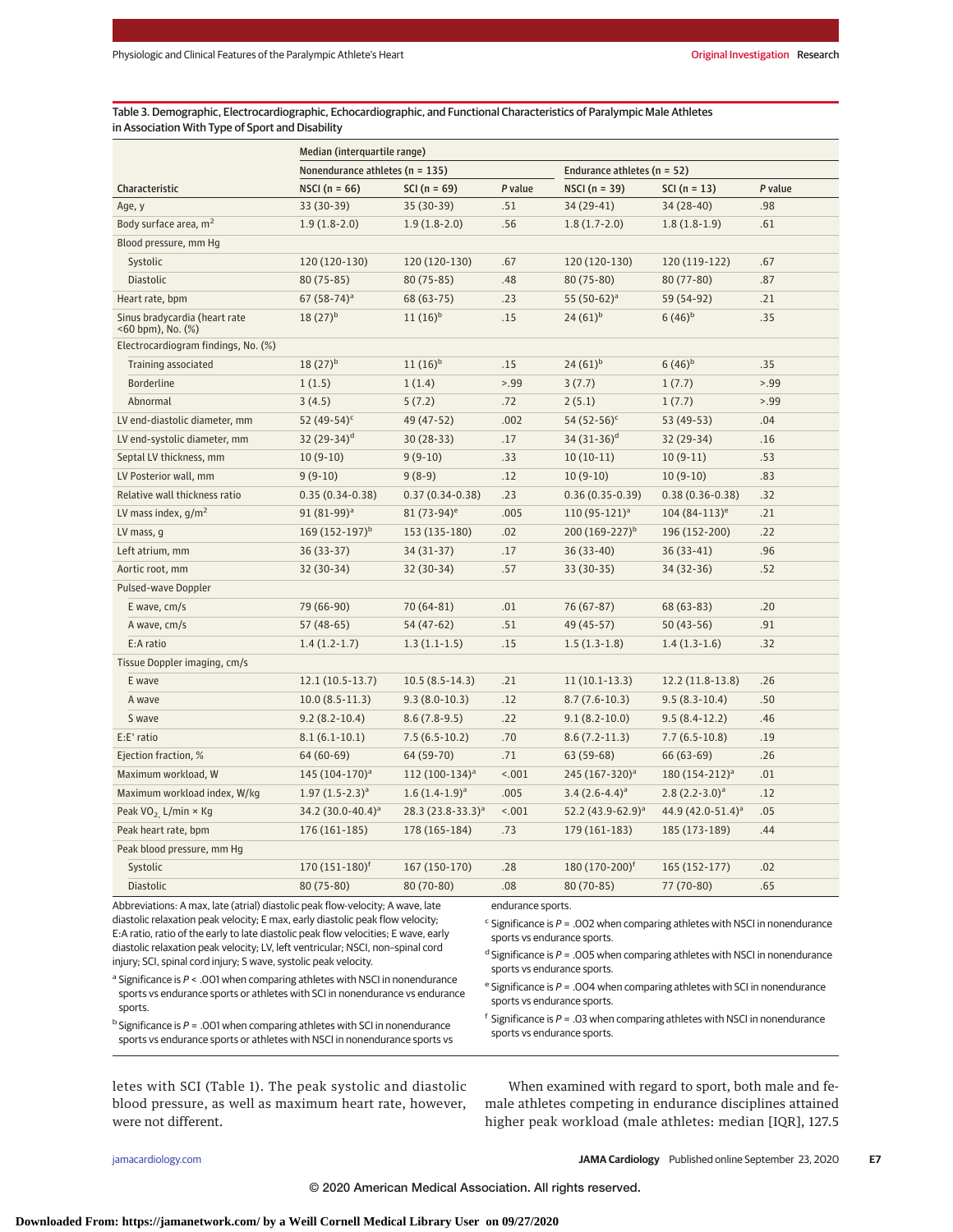Table 3. Demographic, Electrocardiographic, Echocardiographic, and Functional Characteristics of Paralympic Male Athletes in Association With Type of Sport and Disability

| Nonendurance athletes ( $n = 135$ )<br>Endurance athletes (n = 52)<br>P value<br>Characteristic<br>NSCI ( $n = 66$ )<br>$SCI(n = 69)$<br>P value<br>NSCI $(n = 39)$<br>$SCI(n = 13)$<br>.51<br>34 (29-41)<br>34 (28-40)<br>.98<br>Age, y<br>33 (30-39)<br>35 (30-39)<br>Body surface area, m <sup>2</sup><br>.56<br>.61<br>$1.9(1.8-2.0)$<br>$1.9(1.8-2.0)$<br>$1.8(1.7-2.0)$<br>$1.8(1.8-1.9)$<br>Blood pressure, mm Hg<br>Systolic<br>120 (120-130)<br>120 (120-130)<br>.67<br>120 (120-130)<br>120 (119-122)<br>.67<br>Diastolic<br>80 (75-85)<br>80 (75-85)<br>.48<br>80 (75-80)<br>80 (77-80)<br>.87<br>Heart rate, bpm<br>$67(58-74)^a$<br>68 (63-75)<br>.23<br>55 $(50-62)^a$<br>59 (54-92)<br>.21<br>Sinus bradycardia (heart rate<br>$11(16)^{b}$<br>$6(46)^{b}$<br>.35<br>$18(27)^{b}$<br>.15<br>$24(61)^{b}$<br><60 bpm), No. (%)<br>Electrocardiogram findings, No. (%)<br>Training associated<br>$18(27)^{b}$<br>$11(16)^{b}$<br>.15<br>$24(61)^{b}$<br>$6(46)^{b}$<br>.35<br>> .99<br>> 0.99<br><b>Borderline</b><br>1(1.4)<br>3(7.7)<br>1(7.7)<br>1(1.5)<br>Abnormal<br>3(4.5)<br>5(7.2)<br>.72<br>2(5.1)<br>1(7.7)<br>>99<br>52 (49-54) <sup>c</sup><br>49 (47-52)<br>.002<br>54 $(52-56)^c$<br>53 (49-53)<br>.04<br>LV end-diastolic diameter, mm<br>LV end-systolic diameter, mm<br>32 $(29-34)^d$<br>30 (28-33)<br>.17<br>34 $(31-36)^d$<br>32 (29-34)<br>.16<br>$9(9-10)$<br>$10(10-11)$<br>.53<br>Septal LV thickness, mm<br>$10(9-10)$<br>.33<br>$10(9-11)$<br>.12<br>.83<br>LV Posterior wall, mm<br>$9(9-10)$<br>$9(8-9)$<br>$10(9-10)$<br>$10(9-10)$<br>Relative wall thickness ratio<br>.23<br>.32<br>$0.35(0.34-0.38)$<br>$0.37(0.34-0.38)$<br>$0.36(0.35-0.39)$<br>$0.38(0.36 - 0.38)$<br>LV mass index, $g/m^2$<br>91 (81-99) <sup>a</sup><br>$81(73-94)^e$<br>.005<br>$110(95-121)^a$<br>$104(84-113)^e$<br>.21<br>169 $(152-197)^b$<br>200 $(169-227)^b$<br>LV mass, g<br>153 (135-180)<br>.02<br>196 (152-200)<br>.22<br>Left atrium, mm<br>36 (33-37)<br>34 (31-37)<br>.17<br>36 (33-40)<br>$36(33-41)$<br>.96<br>32 (30-34)<br>.57<br>.52<br>Aortic root, mm<br>32 (30-34)<br>33 (30-35)<br>34 (32-36)<br>Pulsed-wave Doppler<br>70 (64-81)<br>.01<br>.20<br>E wave, cm/s<br>79 (66-90)<br>76 (67-87)<br>$68(63-83)$<br>A wave, cm/s<br>57 (48-65)<br>54 (47-62)<br>.51<br>49 (45-57)<br>$50(43-56)$<br>.91<br>E:A ratio<br>$1.4(1.2-1.7)$<br>.15<br>.32<br>$1.3(1.1-1.5)$<br>$1.5(1.3-1.8)$<br>$1.4(1.3-1.6)$<br>Tissue Doppler imaging, cm/s<br>$12.1(10.5-13.7)$<br>$10.5(8.5-14.3)$<br>.21<br>$11(10.1-13.3)$<br>12.2 (11.8-13.8)<br>.26<br>E wave<br>.12<br>.50<br>$10.0(8.5-11.3)$<br>$9.3(8.0-10.3)$<br>$8.7(7.6-10.3)$<br>$9.5(8.3-10.4)$<br>A wave<br>$9.2(8.2 - 10.4)$<br>$8.6(7.8-9.5)$<br>.22<br>$9.1(8.2 - 10.0)$<br>$9.5(8.4-12.2)$<br>.46<br>S wave<br>.70<br>E:E' ratio<br>$8.1(6.1-10.1)$<br>$7.5(6.5-10.2)$<br>$8.6(7.2-11.3)$<br>$7.7(6.5-10.8)$<br>.19<br>.71<br>64 (60-69)<br>64 (59-70)<br>63 (59-68)<br>66 (63-69)<br>.26<br>Ejection fraction, %<br>112 (100-134) <sup>a</sup><br>< .001<br>.01<br>Maximum workload, W<br>145 (104-170) <sup>a</sup><br>245 (167-320) <sup>a</sup><br>180 (154-212) <sup>a</sup><br>.005<br>Maximum workload index, W/kg<br>$1.97 (1.5 - 2.3)^a$<br>$1.6(1.4-1.9)^a$<br>$3.4(2.6-4.4)^a$<br>$2.8(2.2-3.0)^a$<br>.12<br>< .001<br>44.9 (42.0-51.4) <sup>a</sup><br>.05<br>Peak VO <sub>2</sub> L/min $\times$ Kg<br>34.2 $(30.0 - 40.4)^a$<br>$28.3 (23.8 - 33.3)^a$<br>52.2 $(43.9 - 62.9)^a$<br>Peak heart rate, bpm<br>176 (161-185)<br>178 (165-184)<br>.73<br>179 (161-183)<br>185 (173-189)<br>.44<br>Peak blood pressure, mm Hg<br>$170(151-180)^f$<br>180 (170-200) <sup>f</sup><br>167 (150-170)<br>.28<br>165 (152-177)<br>.02<br>Systolic<br>80 (75-80)<br>.08<br>77 (70-80)<br>.65<br><b>Diastolic</b><br>80 (70-80)<br>80 (70-85) | Median (interquartile range) |  |  |  |  |  |  |  |
|-----------------------------------------------------------------------------------------------------------------------------------------------------------------------------------------------------------------------------------------------------------------------------------------------------------------------------------------------------------------------------------------------------------------------------------------------------------------------------------------------------------------------------------------------------------------------------------------------------------------------------------------------------------------------------------------------------------------------------------------------------------------------------------------------------------------------------------------------------------------------------------------------------------------------------------------------------------------------------------------------------------------------------------------------------------------------------------------------------------------------------------------------------------------------------------------------------------------------------------------------------------------------------------------------------------------------------------------------------------------------------------------------------------------------------------------------------------------------------------------------------------------------------------------------------------------------------------------------------------------------------------------------------------------------------------------------------------------------------------------------------------------------------------------------------------------------------------------------------------------------------------------------------------------------------------------------------------------------------------------------------------------------------------------------------------------------------------------------------------------------------------------------------------------------------------------------------------------------------------------------------------------------------------------------------------------------------------------------------------------------------------------------------------------------------------------------------------------------------------------------------------------------------------------------------------------------------------------------------------------------------------------------------------------------------------------------------------------------------------------------------------------------------------------------------------------------------------------------------------------------------------------------------------------------------------------------------------------------------------------------------------------------------------------------------------------------------------------------------------------------------------------------------------------------------------------------------------------------------------------------------------------------------------------------------------------------------------------------------------------------------------------------------------------------------------------------------------------------------------------------------------------------------------------------------------------------------------------------------------------------------------------------------------------------------------------------------------------------------------------------------------------------------------------------------------------------------------------|------------------------------|--|--|--|--|--|--|--|
|                                                                                                                                                                                                                                                                                                                                                                                                                                                                                                                                                                                                                                                                                                                                                                                                                                                                                                                                                                                                                                                                                                                                                                                                                                                                                                                                                                                                                                                                                                                                                                                                                                                                                                                                                                                                                                                                                                                                                                                                                                                                                                                                                                                                                                                                                                                                                                                                                                                                                                                                                                                                                                                                                                                                                                                                                                                                                                                                                                                                                                                                                                                                                                                                                                                                                                                                                                                                                                                                                                                                                                                                                                                                                                                                                                                                                                         |                              |  |  |  |  |  |  |  |
|                                                                                                                                                                                                                                                                                                                                                                                                                                                                                                                                                                                                                                                                                                                                                                                                                                                                                                                                                                                                                                                                                                                                                                                                                                                                                                                                                                                                                                                                                                                                                                                                                                                                                                                                                                                                                                                                                                                                                                                                                                                                                                                                                                                                                                                                                                                                                                                                                                                                                                                                                                                                                                                                                                                                                                                                                                                                                                                                                                                                                                                                                                                                                                                                                                                                                                                                                                                                                                                                                                                                                                                                                                                                                                                                                                                                                                         |                              |  |  |  |  |  |  |  |
|                                                                                                                                                                                                                                                                                                                                                                                                                                                                                                                                                                                                                                                                                                                                                                                                                                                                                                                                                                                                                                                                                                                                                                                                                                                                                                                                                                                                                                                                                                                                                                                                                                                                                                                                                                                                                                                                                                                                                                                                                                                                                                                                                                                                                                                                                                                                                                                                                                                                                                                                                                                                                                                                                                                                                                                                                                                                                                                                                                                                                                                                                                                                                                                                                                                                                                                                                                                                                                                                                                                                                                                                                                                                                                                                                                                                                                         |                              |  |  |  |  |  |  |  |
|                                                                                                                                                                                                                                                                                                                                                                                                                                                                                                                                                                                                                                                                                                                                                                                                                                                                                                                                                                                                                                                                                                                                                                                                                                                                                                                                                                                                                                                                                                                                                                                                                                                                                                                                                                                                                                                                                                                                                                                                                                                                                                                                                                                                                                                                                                                                                                                                                                                                                                                                                                                                                                                                                                                                                                                                                                                                                                                                                                                                                                                                                                                                                                                                                                                                                                                                                                                                                                                                                                                                                                                                                                                                                                                                                                                                                                         |                              |  |  |  |  |  |  |  |
|                                                                                                                                                                                                                                                                                                                                                                                                                                                                                                                                                                                                                                                                                                                                                                                                                                                                                                                                                                                                                                                                                                                                                                                                                                                                                                                                                                                                                                                                                                                                                                                                                                                                                                                                                                                                                                                                                                                                                                                                                                                                                                                                                                                                                                                                                                                                                                                                                                                                                                                                                                                                                                                                                                                                                                                                                                                                                                                                                                                                                                                                                                                                                                                                                                                                                                                                                                                                                                                                                                                                                                                                                                                                                                                                                                                                                                         |                              |  |  |  |  |  |  |  |
|                                                                                                                                                                                                                                                                                                                                                                                                                                                                                                                                                                                                                                                                                                                                                                                                                                                                                                                                                                                                                                                                                                                                                                                                                                                                                                                                                                                                                                                                                                                                                                                                                                                                                                                                                                                                                                                                                                                                                                                                                                                                                                                                                                                                                                                                                                                                                                                                                                                                                                                                                                                                                                                                                                                                                                                                                                                                                                                                                                                                                                                                                                                                                                                                                                                                                                                                                                                                                                                                                                                                                                                                                                                                                                                                                                                                                                         |                              |  |  |  |  |  |  |  |
|                                                                                                                                                                                                                                                                                                                                                                                                                                                                                                                                                                                                                                                                                                                                                                                                                                                                                                                                                                                                                                                                                                                                                                                                                                                                                                                                                                                                                                                                                                                                                                                                                                                                                                                                                                                                                                                                                                                                                                                                                                                                                                                                                                                                                                                                                                                                                                                                                                                                                                                                                                                                                                                                                                                                                                                                                                                                                                                                                                                                                                                                                                                                                                                                                                                                                                                                                                                                                                                                                                                                                                                                                                                                                                                                                                                                                                         |                              |  |  |  |  |  |  |  |
|                                                                                                                                                                                                                                                                                                                                                                                                                                                                                                                                                                                                                                                                                                                                                                                                                                                                                                                                                                                                                                                                                                                                                                                                                                                                                                                                                                                                                                                                                                                                                                                                                                                                                                                                                                                                                                                                                                                                                                                                                                                                                                                                                                                                                                                                                                                                                                                                                                                                                                                                                                                                                                                                                                                                                                                                                                                                                                                                                                                                                                                                                                                                                                                                                                                                                                                                                                                                                                                                                                                                                                                                                                                                                                                                                                                                                                         |                              |  |  |  |  |  |  |  |
|                                                                                                                                                                                                                                                                                                                                                                                                                                                                                                                                                                                                                                                                                                                                                                                                                                                                                                                                                                                                                                                                                                                                                                                                                                                                                                                                                                                                                                                                                                                                                                                                                                                                                                                                                                                                                                                                                                                                                                                                                                                                                                                                                                                                                                                                                                                                                                                                                                                                                                                                                                                                                                                                                                                                                                                                                                                                                                                                                                                                                                                                                                                                                                                                                                                                                                                                                                                                                                                                                                                                                                                                                                                                                                                                                                                                                                         |                              |  |  |  |  |  |  |  |
|                                                                                                                                                                                                                                                                                                                                                                                                                                                                                                                                                                                                                                                                                                                                                                                                                                                                                                                                                                                                                                                                                                                                                                                                                                                                                                                                                                                                                                                                                                                                                                                                                                                                                                                                                                                                                                                                                                                                                                                                                                                                                                                                                                                                                                                                                                                                                                                                                                                                                                                                                                                                                                                                                                                                                                                                                                                                                                                                                                                                                                                                                                                                                                                                                                                                                                                                                                                                                                                                                                                                                                                                                                                                                                                                                                                                                                         |                              |  |  |  |  |  |  |  |
|                                                                                                                                                                                                                                                                                                                                                                                                                                                                                                                                                                                                                                                                                                                                                                                                                                                                                                                                                                                                                                                                                                                                                                                                                                                                                                                                                                                                                                                                                                                                                                                                                                                                                                                                                                                                                                                                                                                                                                                                                                                                                                                                                                                                                                                                                                                                                                                                                                                                                                                                                                                                                                                                                                                                                                                                                                                                                                                                                                                                                                                                                                                                                                                                                                                                                                                                                                                                                                                                                                                                                                                                                                                                                                                                                                                                                                         |                              |  |  |  |  |  |  |  |
|                                                                                                                                                                                                                                                                                                                                                                                                                                                                                                                                                                                                                                                                                                                                                                                                                                                                                                                                                                                                                                                                                                                                                                                                                                                                                                                                                                                                                                                                                                                                                                                                                                                                                                                                                                                                                                                                                                                                                                                                                                                                                                                                                                                                                                                                                                                                                                                                                                                                                                                                                                                                                                                                                                                                                                                                                                                                                                                                                                                                                                                                                                                                                                                                                                                                                                                                                                                                                                                                                                                                                                                                                                                                                                                                                                                                                                         |                              |  |  |  |  |  |  |  |
|                                                                                                                                                                                                                                                                                                                                                                                                                                                                                                                                                                                                                                                                                                                                                                                                                                                                                                                                                                                                                                                                                                                                                                                                                                                                                                                                                                                                                                                                                                                                                                                                                                                                                                                                                                                                                                                                                                                                                                                                                                                                                                                                                                                                                                                                                                                                                                                                                                                                                                                                                                                                                                                                                                                                                                                                                                                                                                                                                                                                                                                                                                                                                                                                                                                                                                                                                                                                                                                                                                                                                                                                                                                                                                                                                                                                                                         |                              |  |  |  |  |  |  |  |
|                                                                                                                                                                                                                                                                                                                                                                                                                                                                                                                                                                                                                                                                                                                                                                                                                                                                                                                                                                                                                                                                                                                                                                                                                                                                                                                                                                                                                                                                                                                                                                                                                                                                                                                                                                                                                                                                                                                                                                                                                                                                                                                                                                                                                                                                                                                                                                                                                                                                                                                                                                                                                                                                                                                                                                                                                                                                                                                                                                                                                                                                                                                                                                                                                                                                                                                                                                                                                                                                                                                                                                                                                                                                                                                                                                                                                                         |                              |  |  |  |  |  |  |  |
|                                                                                                                                                                                                                                                                                                                                                                                                                                                                                                                                                                                                                                                                                                                                                                                                                                                                                                                                                                                                                                                                                                                                                                                                                                                                                                                                                                                                                                                                                                                                                                                                                                                                                                                                                                                                                                                                                                                                                                                                                                                                                                                                                                                                                                                                                                                                                                                                                                                                                                                                                                                                                                                                                                                                                                                                                                                                                                                                                                                                                                                                                                                                                                                                                                                                                                                                                                                                                                                                                                                                                                                                                                                                                                                                                                                                                                         |                              |  |  |  |  |  |  |  |
|                                                                                                                                                                                                                                                                                                                                                                                                                                                                                                                                                                                                                                                                                                                                                                                                                                                                                                                                                                                                                                                                                                                                                                                                                                                                                                                                                                                                                                                                                                                                                                                                                                                                                                                                                                                                                                                                                                                                                                                                                                                                                                                                                                                                                                                                                                                                                                                                                                                                                                                                                                                                                                                                                                                                                                                                                                                                                                                                                                                                                                                                                                                                                                                                                                                                                                                                                                                                                                                                                                                                                                                                                                                                                                                                                                                                                                         |                              |  |  |  |  |  |  |  |
|                                                                                                                                                                                                                                                                                                                                                                                                                                                                                                                                                                                                                                                                                                                                                                                                                                                                                                                                                                                                                                                                                                                                                                                                                                                                                                                                                                                                                                                                                                                                                                                                                                                                                                                                                                                                                                                                                                                                                                                                                                                                                                                                                                                                                                                                                                                                                                                                                                                                                                                                                                                                                                                                                                                                                                                                                                                                                                                                                                                                                                                                                                                                                                                                                                                                                                                                                                                                                                                                                                                                                                                                                                                                                                                                                                                                                                         |                              |  |  |  |  |  |  |  |
|                                                                                                                                                                                                                                                                                                                                                                                                                                                                                                                                                                                                                                                                                                                                                                                                                                                                                                                                                                                                                                                                                                                                                                                                                                                                                                                                                                                                                                                                                                                                                                                                                                                                                                                                                                                                                                                                                                                                                                                                                                                                                                                                                                                                                                                                                                                                                                                                                                                                                                                                                                                                                                                                                                                                                                                                                                                                                                                                                                                                                                                                                                                                                                                                                                                                                                                                                                                                                                                                                                                                                                                                                                                                                                                                                                                                                                         |                              |  |  |  |  |  |  |  |
|                                                                                                                                                                                                                                                                                                                                                                                                                                                                                                                                                                                                                                                                                                                                                                                                                                                                                                                                                                                                                                                                                                                                                                                                                                                                                                                                                                                                                                                                                                                                                                                                                                                                                                                                                                                                                                                                                                                                                                                                                                                                                                                                                                                                                                                                                                                                                                                                                                                                                                                                                                                                                                                                                                                                                                                                                                                                                                                                                                                                                                                                                                                                                                                                                                                                                                                                                                                                                                                                                                                                                                                                                                                                                                                                                                                                                                         |                              |  |  |  |  |  |  |  |
|                                                                                                                                                                                                                                                                                                                                                                                                                                                                                                                                                                                                                                                                                                                                                                                                                                                                                                                                                                                                                                                                                                                                                                                                                                                                                                                                                                                                                                                                                                                                                                                                                                                                                                                                                                                                                                                                                                                                                                                                                                                                                                                                                                                                                                                                                                                                                                                                                                                                                                                                                                                                                                                                                                                                                                                                                                                                                                                                                                                                                                                                                                                                                                                                                                                                                                                                                                                                                                                                                                                                                                                                                                                                                                                                                                                                                                         |                              |  |  |  |  |  |  |  |
|                                                                                                                                                                                                                                                                                                                                                                                                                                                                                                                                                                                                                                                                                                                                                                                                                                                                                                                                                                                                                                                                                                                                                                                                                                                                                                                                                                                                                                                                                                                                                                                                                                                                                                                                                                                                                                                                                                                                                                                                                                                                                                                                                                                                                                                                                                                                                                                                                                                                                                                                                                                                                                                                                                                                                                                                                                                                                                                                                                                                                                                                                                                                                                                                                                                                                                                                                                                                                                                                                                                                                                                                                                                                                                                                                                                                                                         |                              |  |  |  |  |  |  |  |
|                                                                                                                                                                                                                                                                                                                                                                                                                                                                                                                                                                                                                                                                                                                                                                                                                                                                                                                                                                                                                                                                                                                                                                                                                                                                                                                                                                                                                                                                                                                                                                                                                                                                                                                                                                                                                                                                                                                                                                                                                                                                                                                                                                                                                                                                                                                                                                                                                                                                                                                                                                                                                                                                                                                                                                                                                                                                                                                                                                                                                                                                                                                                                                                                                                                                                                                                                                                                                                                                                                                                                                                                                                                                                                                                                                                                                                         |                              |  |  |  |  |  |  |  |
|                                                                                                                                                                                                                                                                                                                                                                                                                                                                                                                                                                                                                                                                                                                                                                                                                                                                                                                                                                                                                                                                                                                                                                                                                                                                                                                                                                                                                                                                                                                                                                                                                                                                                                                                                                                                                                                                                                                                                                                                                                                                                                                                                                                                                                                                                                                                                                                                                                                                                                                                                                                                                                                                                                                                                                                                                                                                                                                                                                                                                                                                                                                                                                                                                                                                                                                                                                                                                                                                                                                                                                                                                                                                                                                                                                                                                                         |                              |  |  |  |  |  |  |  |
|                                                                                                                                                                                                                                                                                                                                                                                                                                                                                                                                                                                                                                                                                                                                                                                                                                                                                                                                                                                                                                                                                                                                                                                                                                                                                                                                                                                                                                                                                                                                                                                                                                                                                                                                                                                                                                                                                                                                                                                                                                                                                                                                                                                                                                                                                                                                                                                                                                                                                                                                                                                                                                                                                                                                                                                                                                                                                                                                                                                                                                                                                                                                                                                                                                                                                                                                                                                                                                                                                                                                                                                                                                                                                                                                                                                                                                         |                              |  |  |  |  |  |  |  |
|                                                                                                                                                                                                                                                                                                                                                                                                                                                                                                                                                                                                                                                                                                                                                                                                                                                                                                                                                                                                                                                                                                                                                                                                                                                                                                                                                                                                                                                                                                                                                                                                                                                                                                                                                                                                                                                                                                                                                                                                                                                                                                                                                                                                                                                                                                                                                                                                                                                                                                                                                                                                                                                                                                                                                                                                                                                                                                                                                                                                                                                                                                                                                                                                                                                                                                                                                                                                                                                                                                                                                                                                                                                                                                                                                                                                                                         |                              |  |  |  |  |  |  |  |
|                                                                                                                                                                                                                                                                                                                                                                                                                                                                                                                                                                                                                                                                                                                                                                                                                                                                                                                                                                                                                                                                                                                                                                                                                                                                                                                                                                                                                                                                                                                                                                                                                                                                                                                                                                                                                                                                                                                                                                                                                                                                                                                                                                                                                                                                                                                                                                                                                                                                                                                                                                                                                                                                                                                                                                                                                                                                                                                                                                                                                                                                                                                                                                                                                                                                                                                                                                                                                                                                                                                                                                                                                                                                                                                                                                                                                                         |                              |  |  |  |  |  |  |  |
|                                                                                                                                                                                                                                                                                                                                                                                                                                                                                                                                                                                                                                                                                                                                                                                                                                                                                                                                                                                                                                                                                                                                                                                                                                                                                                                                                                                                                                                                                                                                                                                                                                                                                                                                                                                                                                                                                                                                                                                                                                                                                                                                                                                                                                                                                                                                                                                                                                                                                                                                                                                                                                                                                                                                                                                                                                                                                                                                                                                                                                                                                                                                                                                                                                                                                                                                                                                                                                                                                                                                                                                                                                                                                                                                                                                                                                         |                              |  |  |  |  |  |  |  |
|                                                                                                                                                                                                                                                                                                                                                                                                                                                                                                                                                                                                                                                                                                                                                                                                                                                                                                                                                                                                                                                                                                                                                                                                                                                                                                                                                                                                                                                                                                                                                                                                                                                                                                                                                                                                                                                                                                                                                                                                                                                                                                                                                                                                                                                                                                                                                                                                                                                                                                                                                                                                                                                                                                                                                                                                                                                                                                                                                                                                                                                                                                                                                                                                                                                                                                                                                                                                                                                                                                                                                                                                                                                                                                                                                                                                                                         |                              |  |  |  |  |  |  |  |
|                                                                                                                                                                                                                                                                                                                                                                                                                                                                                                                                                                                                                                                                                                                                                                                                                                                                                                                                                                                                                                                                                                                                                                                                                                                                                                                                                                                                                                                                                                                                                                                                                                                                                                                                                                                                                                                                                                                                                                                                                                                                                                                                                                                                                                                                                                                                                                                                                                                                                                                                                                                                                                                                                                                                                                                                                                                                                                                                                                                                                                                                                                                                                                                                                                                                                                                                                                                                                                                                                                                                                                                                                                                                                                                                                                                                                                         |                              |  |  |  |  |  |  |  |
|                                                                                                                                                                                                                                                                                                                                                                                                                                                                                                                                                                                                                                                                                                                                                                                                                                                                                                                                                                                                                                                                                                                                                                                                                                                                                                                                                                                                                                                                                                                                                                                                                                                                                                                                                                                                                                                                                                                                                                                                                                                                                                                                                                                                                                                                                                                                                                                                                                                                                                                                                                                                                                                                                                                                                                                                                                                                                                                                                                                                                                                                                                                                                                                                                                                                                                                                                                                                                                                                                                                                                                                                                                                                                                                                                                                                                                         |                              |  |  |  |  |  |  |  |
|                                                                                                                                                                                                                                                                                                                                                                                                                                                                                                                                                                                                                                                                                                                                                                                                                                                                                                                                                                                                                                                                                                                                                                                                                                                                                                                                                                                                                                                                                                                                                                                                                                                                                                                                                                                                                                                                                                                                                                                                                                                                                                                                                                                                                                                                                                                                                                                                                                                                                                                                                                                                                                                                                                                                                                                                                                                                                                                                                                                                                                                                                                                                                                                                                                                                                                                                                                                                                                                                                                                                                                                                                                                                                                                                                                                                                                         |                              |  |  |  |  |  |  |  |
|                                                                                                                                                                                                                                                                                                                                                                                                                                                                                                                                                                                                                                                                                                                                                                                                                                                                                                                                                                                                                                                                                                                                                                                                                                                                                                                                                                                                                                                                                                                                                                                                                                                                                                                                                                                                                                                                                                                                                                                                                                                                                                                                                                                                                                                                                                                                                                                                                                                                                                                                                                                                                                                                                                                                                                                                                                                                                                                                                                                                                                                                                                                                                                                                                                                                                                                                                                                                                                                                                                                                                                                                                                                                                                                                                                                                                                         |                              |  |  |  |  |  |  |  |
|                                                                                                                                                                                                                                                                                                                                                                                                                                                                                                                                                                                                                                                                                                                                                                                                                                                                                                                                                                                                                                                                                                                                                                                                                                                                                                                                                                                                                                                                                                                                                                                                                                                                                                                                                                                                                                                                                                                                                                                                                                                                                                                                                                                                                                                                                                                                                                                                                                                                                                                                                                                                                                                                                                                                                                                                                                                                                                                                                                                                                                                                                                                                                                                                                                                                                                                                                                                                                                                                                                                                                                                                                                                                                                                                                                                                                                         |                              |  |  |  |  |  |  |  |
|                                                                                                                                                                                                                                                                                                                                                                                                                                                                                                                                                                                                                                                                                                                                                                                                                                                                                                                                                                                                                                                                                                                                                                                                                                                                                                                                                                                                                                                                                                                                                                                                                                                                                                                                                                                                                                                                                                                                                                                                                                                                                                                                                                                                                                                                                                                                                                                                                                                                                                                                                                                                                                                                                                                                                                                                                                                                                                                                                                                                                                                                                                                                                                                                                                                                                                                                                                                                                                                                                                                                                                                                                                                                                                                                                                                                                                         |                              |  |  |  |  |  |  |  |
|                                                                                                                                                                                                                                                                                                                                                                                                                                                                                                                                                                                                                                                                                                                                                                                                                                                                                                                                                                                                                                                                                                                                                                                                                                                                                                                                                                                                                                                                                                                                                                                                                                                                                                                                                                                                                                                                                                                                                                                                                                                                                                                                                                                                                                                                                                                                                                                                                                                                                                                                                                                                                                                                                                                                                                                                                                                                                                                                                                                                                                                                                                                                                                                                                                                                                                                                                                                                                                                                                                                                                                                                                                                                                                                                                                                                                                         |                              |  |  |  |  |  |  |  |
|                                                                                                                                                                                                                                                                                                                                                                                                                                                                                                                                                                                                                                                                                                                                                                                                                                                                                                                                                                                                                                                                                                                                                                                                                                                                                                                                                                                                                                                                                                                                                                                                                                                                                                                                                                                                                                                                                                                                                                                                                                                                                                                                                                                                                                                                                                                                                                                                                                                                                                                                                                                                                                                                                                                                                                                                                                                                                                                                                                                                                                                                                                                                                                                                                                                                                                                                                                                                                                                                                                                                                                                                                                                                                                                                                                                                                                         |                              |  |  |  |  |  |  |  |
|                                                                                                                                                                                                                                                                                                                                                                                                                                                                                                                                                                                                                                                                                                                                                                                                                                                                                                                                                                                                                                                                                                                                                                                                                                                                                                                                                                                                                                                                                                                                                                                                                                                                                                                                                                                                                                                                                                                                                                                                                                                                                                                                                                                                                                                                                                                                                                                                                                                                                                                                                                                                                                                                                                                                                                                                                                                                                                                                                                                                                                                                                                                                                                                                                                                                                                                                                                                                                                                                                                                                                                                                                                                                                                                                                                                                                                         |                              |  |  |  |  |  |  |  |
|                                                                                                                                                                                                                                                                                                                                                                                                                                                                                                                                                                                                                                                                                                                                                                                                                                                                                                                                                                                                                                                                                                                                                                                                                                                                                                                                                                                                                                                                                                                                                                                                                                                                                                                                                                                                                                                                                                                                                                                                                                                                                                                                                                                                                                                                                                                                                                                                                                                                                                                                                                                                                                                                                                                                                                                                                                                                                                                                                                                                                                                                                                                                                                                                                                                                                                                                                                                                                                                                                                                                                                                                                                                                                                                                                                                                                                         |                              |  |  |  |  |  |  |  |
|                                                                                                                                                                                                                                                                                                                                                                                                                                                                                                                                                                                                                                                                                                                                                                                                                                                                                                                                                                                                                                                                                                                                                                                                                                                                                                                                                                                                                                                                                                                                                                                                                                                                                                                                                                                                                                                                                                                                                                                                                                                                                                                                                                                                                                                                                                                                                                                                                                                                                                                                                                                                                                                                                                                                                                                                                                                                                                                                                                                                                                                                                                                                                                                                                                                                                                                                                                                                                                                                                                                                                                                                                                                                                                                                                                                                                                         |                              |  |  |  |  |  |  |  |

Abbreviations: A max, late (atrial) diastolic peak flow-velocity; A wave, late diastolic relaxation peak velocity; E max, early diastolic peak flow velocity; E:A ratio, ratio of the early to late diastolic peak flow velocities; E wave, early diastolic relaxation peak velocity; LV, left ventricular; NSCI, non–spinal cord injury; SCI, spinal cord injury; S wave, systolic peak velocity.

 $b$  Significance is  $P = .001$  when comparing athletes with SCI in nonendurance sports vs endurance sports or athletes with NSCI in nonendurance sports vs endurance sports.

 $\epsilon$  Significance is  $P = 0.002$  when comparing athletes with NSCI in nonendurance sports vs endurance sports.

<sup>d</sup> Significance is  $P = 0.005$  when comparing athletes with NSCI in nonendurance sports vs endurance sports.

<sup>a</sup> Significance is  $P < .001$  when comparing athletes with NSCI in nonendurance sports vs endurance sports or athletes with SCI in nonendurance vs endurance <sup>e</sup> Significance is  $P = 0.004$  when comparing athletes with SCI in nonendurance sports vs endurance sports.

> f Significance is  $P = .03$  when comparing athletes with NSCI in nonendurance sports vs endurance sports.

letes with SCI (Table 1). The peak systolic and diastolic blood pressure, as well as maximum heart rate, however, were not different.

When examined with regard to sport, both male and female athletes competing in endurance disciplines attained higher peak workload (male athletes: median [IQR], 127.5

sports.

[jamacardiology.com](http://www.jamacardiology.com?utm_campaign=articlePDF%26utm_medium=articlePDFlink%26utm_source=articlePDF%26utm_content=jamacardio.2020.4306) **(Reprinted) JAMA Cardiology** Published online September 23, 2020 **E7**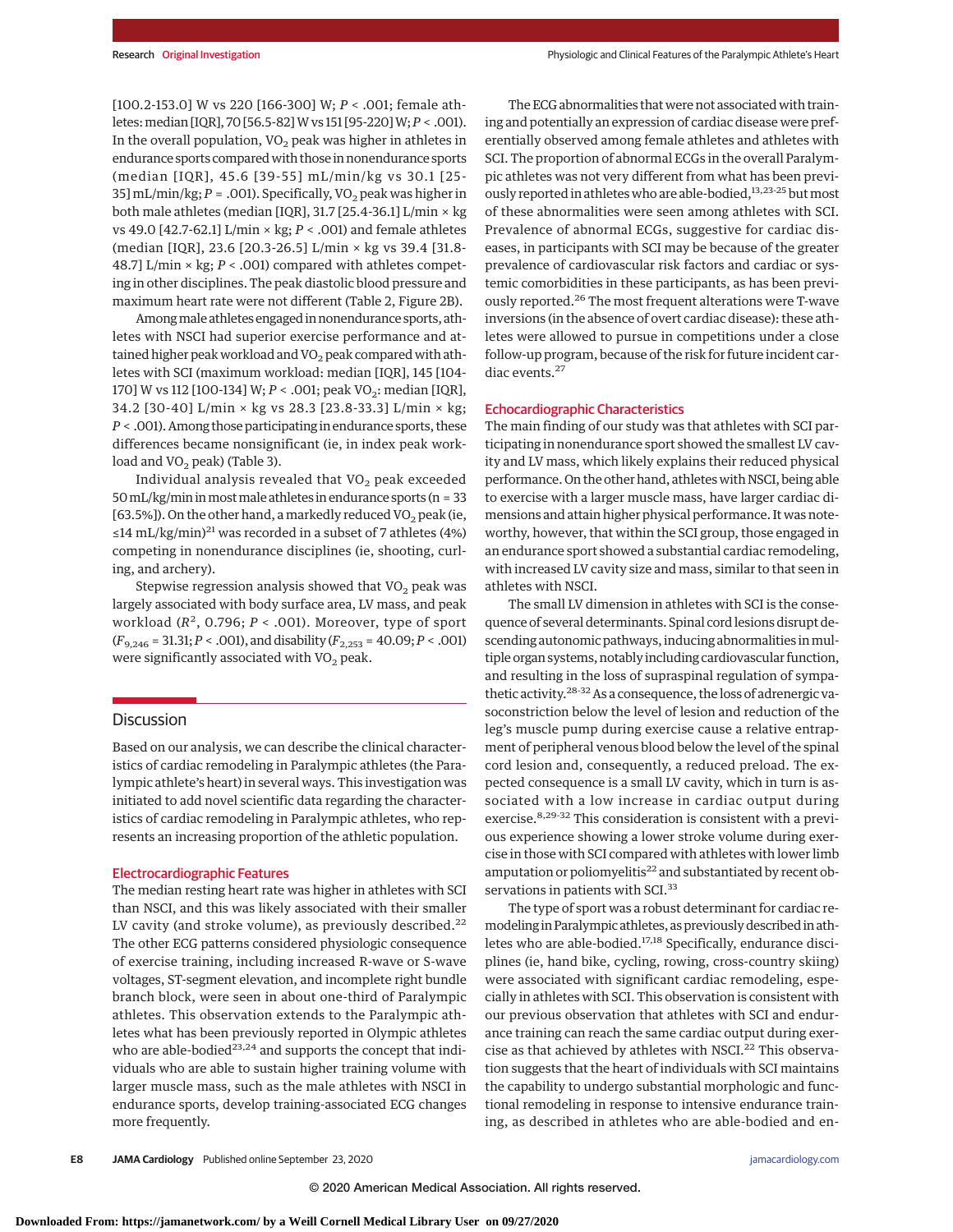[100.2-153.0] W vs 220 [166-300] W; *P* < .001; female athletes:median [IQR], 70 [56.5-82]W vs 151 [95-220]W;*P* < .001). In the overall population,  $VO<sub>2</sub>$  peak was higher in athletes in endurance sports compared with those in nonendurance sports (median [IQR], 45.6 [39-55] mL/min/kg vs 30.1 [25- 35] mL/min/kg; *P* = .001). Specifically, VO<sub>2</sub> peak was higher in both male athletes (median [IQR], 31.7 [25.4-36.1] L/min × kg vs 49.0 [42.7-62.1] L/min × kg; *P* < .001) and female athletes (median [IQR], 23.6 [20.3-26.5] L/min × kg vs 39.4 [31.8- 48.7] L/min × kg; *P* < .001) compared with athletes competing in other disciplines. The peak diastolic blood pressure and maximum heart rate were not different (Table 2, Figure 2B).

Among male athletes engaged in nonendurance sports, athletes with NSCI had superior exercise performance and attained higher peak workload and  $VO<sub>2</sub>$  peak compared with athletes with SCI (maximum workload: median [IQR], 145 [104- 170] W vs 112 [100-134] W; *P* < .001; peak VO<sub>2</sub>: median [IQR], 34.2 [30-40] L/min × kg vs 28.3 [23.8-33.3] L/min × kg; *P* < .001). Among those participating in endurance sports, these differences became nonsignificant (ie, in index peak workload and  $VO<sub>2</sub>$  peak) (Table 3).

Individual analysis revealed that  $VO<sub>2</sub>$  peak exceeded  $50$  mL/kg/min in most male athletes in endurance sports (n = 33 [63.5%]). On the other hand, a markedly reduced  $VO<sub>2</sub>$  peak (ie, ≤14 mL/kg/min)<sup>21</sup> was recorded in a subset of 7 athletes (4%) competing in nonendurance disciplines (ie, shooting, curling, and archery).

Stepwise regression analysis showed that  $VO<sub>2</sub>$  peak was largely associated with body surface area, LV mass, and peak workload  $(R^2, 0.796; P < .001)$ . Moreover, type of sport (*F*9,246 = 31.31;*P* < .001), and disability (*F*2,253 = 40.09;*P* < .001) were significantly associated with  $VO<sub>2</sub>$  peak.

## **Discussion**

Based on our analysis, we can describe the clinical characteristics of cardiac remodeling in Paralympic athletes (the Paralympic athlete's heart) in several ways. This investigation was initiated to add novel scientific data regarding the characteristics of cardiac remodeling in Paralympic athletes, who represents an increasing proportion of the athletic population.

#### Electrocardiographic Features

The median resting heart rate was higher in athletes with SCI than NSCI, and this was likely associated with their smaller LV cavity (and stroke volume), as previously described.<sup>22</sup> The other ECG patterns considered physiologic consequence of exercise training, including increased R-wave or S-wave voltages, ST-segment elevation, and incomplete right bundle branch block, were seen in about one-third of Paralympic athletes. This observation extends to the Paralympic athletes what has been previously reported in Olympic athletes who are able-bodied<sup>23,24</sup> and supports the concept that individuals who are able to sustain higher training volume with larger muscle mass, such as the male athletes with NSCI in endurance sports, develop training-associated ECG changes more frequently.

The ECG abnormalities that were not associated with training and potentially an expression of cardiac disease were preferentially observed among female athletes and athletes with SCI. The proportion of abnormal ECGs in the overall Paralympic athletes was not very different from what has been previously reported in athletes who are able-bodied,<sup>13,23-25</sup> but most of these abnormalities were seen among athletes with SCI. Prevalence of abnormal ECGs, suggestive for cardiac diseases, in participants with SCI may be because of the greater prevalence of cardiovascular risk factors and cardiac or systemic comorbidities in these participants, as has been previously reported.<sup>26</sup> The most frequent alterations were T-wave inversions (in the absence of overt cardiac disease): these athletes were allowed to pursue in competitions under a close follow-up program, because of the risk for future incident cardiac events.<sup>27</sup>

#### Echocardiographic Characteristics

The main finding of our study was that athletes with SCI participating in nonendurance sport showed the smallest LV cavity and LV mass, which likely explains their reduced physical performance. On the other hand, athletes with NSCI, being able to exercise with a larger muscle mass, have larger cardiac dimensions and attain higher physical performance. It was noteworthy, however, that within the SCI group, those engaged in an endurance sport showed a substantial cardiac remodeling, with increased LV cavity size and mass, similar to that seen in athletes with NSCI.

The small LV dimension in athletes with SCI is the consequence of several determinants. Spinal cord lesions disrupt descending autonomic pathways, inducing abnormalities in multiple organ systems, notably including cardiovascular function, and resulting in the loss of supraspinal regulation of sympathetic activity.<sup>28-32</sup> As a consequence, the loss of adrenergic vasoconstriction below the level of lesion and reduction of the leg's muscle pump during exercise cause a relative entrapment of peripheral venous blood below the level of the spinal cord lesion and, consequently, a reduced preload. The expected consequence is a small LV cavity, which in turn is associated with a low increase in cardiac output during exercise.8,29-32 This consideration is consistent with a previous experience showing a lower stroke volume during exercise in those with SCI compared with athletes with lower limb amputation or poliomyelitis<sup>22</sup> and substantiated by recent observations in patients with SCI.<sup>33</sup>

The type of sport was a robust determinant for cardiac remodeling in Paralympic athletes, as previously described in athletes who are able-bodied.<sup>17,18</sup> Specifically, endurance disciplines (ie, hand bike, cycling, rowing, cross-country skiing) were associated with significant cardiac remodeling, especially in athletes with SCI. This observation is consistent with our previous observation that athletes with SCI and endurance training can reach the same cardiac output during exercise as that achieved by athletes with NSCI.<sup>22</sup> This observation suggests that the heart of individuals with SCI maintains the capability to undergo substantial morphologic and functional remodeling in response to intensive endurance training, as described in athletes who are able-bodied and en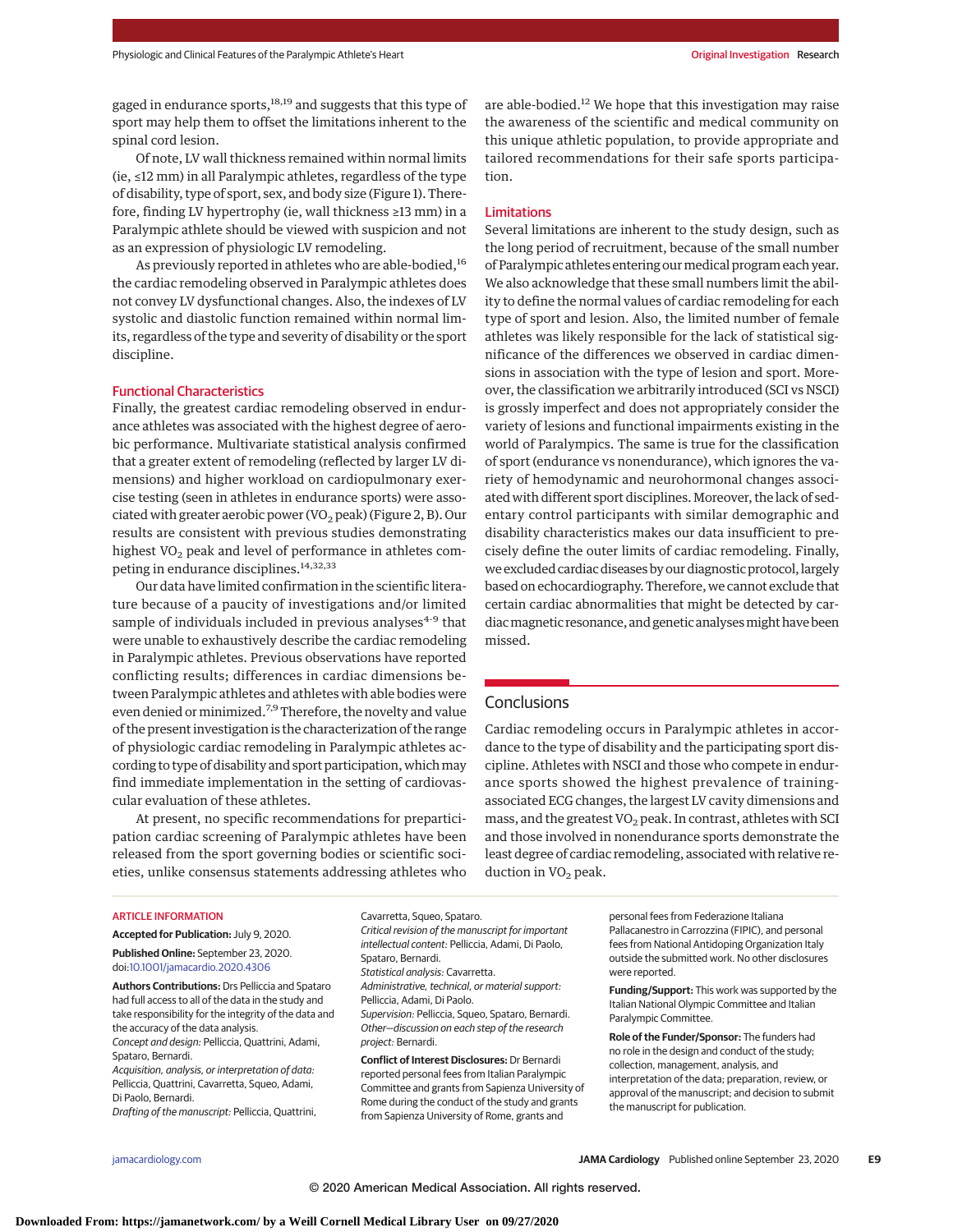gaged in endurance sports,<sup>18,19</sup> and suggests that this type of sport may help them to offset the limitations inherent to the spinal cord lesion.

Of note, LV wall thickness remained within normal limits (ie, ≤12 mm) in all Paralympic athletes, regardless of the type of disability, type of sport, sex, and body size (Figure 1). Therefore, finding LV hypertrophy (ie, wall thickness ≥13 mm) in a Paralympic athlete should be viewed with suspicion and not as an expression of physiologic LV remodeling.

As previously reported in athletes who are able-bodied,<sup>16</sup> the cardiac remodeling observed in Paralympic athletes does not convey LV dysfunctional changes. Also, the indexes of LV systolic and diastolic function remained within normal limits, regardless of the type and severity of disability or the sport discipline.

### Functional Characteristics

Finally, the greatest cardiac remodeling observed in endurance athletes was associated with the highest degree of aerobic performance. Multivariate statistical analysis confirmed that a greater extent of remodeling (reflected by larger LV dimensions) and higher workload on cardiopulmonary exercise testing (seen in athletes in endurance sports) were associated with greater aerobic power (VO<sub>2</sub> peak) (Figure 2, B). Our results are consistent with previous studies demonstrating highest VO<sub>2</sub> peak and level of performance in athletes competing in endurance disciplines.<sup>14,32,33</sup>

Our data have limited confirmation in the scientific literature because of a paucity of investigations and/or limited sample of individuals included in previous analyses $4-9$  that were unable to exhaustively describe the cardiac remodeling in Paralympic athletes. Previous observations have reported conflicting results; differences in cardiac dimensions between Paralympic athletes and athletes with able bodies were even denied or minimized.<sup>7,9</sup> Therefore, the novelty and value of the present investigation is the characterization of the range of physiologic cardiac remodeling in Paralympic athletes according to type of disability and sport participation, whichmay find immediate implementation in the setting of cardiovascular evaluation of these athletes.

At present, no specific recommendations for preparticipation cardiac screening of Paralympic athletes have been released from the sport governing bodies or scientific societies, unlike consensus statements addressing athletes who are able-bodied.12 We hope that this investigation may raise the awareness of the scientific and medical community on this unique athletic population, to provide appropriate and tailored recommendations for their safe sports participation.

#### Limitations

Several limitations are inherent to the study design, such as the long period of recruitment, because of the small number of Paralympic athletes entering ourmedical program each year. We also acknowledge that these small numbers limit the ability to define the normal values of cardiac remodeling for each type of sport and lesion. Also, the limited number of female athletes was likely responsible for the lack of statistical significance of the differences we observed in cardiac dimensions in association with the type of lesion and sport. Moreover, the classification we arbitrarily introduced (SCI vs NSCI) is grossly imperfect and does not appropriately consider the variety of lesions and functional impairments existing in the world of Paralympics. The same is true for the classification of sport (endurance vs nonendurance), which ignores the variety of hemodynamic and neurohormonal changes associated with different sport disciplines. Moreover, the lack of sedentary control participants with similar demographic and disability characteristics makes our data insufficient to precisely define the outer limits of cardiac remodeling. Finally, we excluded cardiac diseases by our diagnostic protocol, largely based on echocardiography. Therefore, we cannot exclude that certain cardiac abnormalities that might be detected by cardiac magnetic resonance, and genetic analyses might have been missed.

# **Conclusions**

Cardiac remodeling occurs in Paralympic athletes in accordance to the type of disability and the participating sport discipline. Athletes with NSCI and those who compete in endurance sports showed the highest prevalence of trainingassociated ECG changes, the largest LV cavity dimensions and mass, and the greatest VO<sub>2</sub> peak. In contrast, athletes with SCI and those involved in nonendurance sports demonstrate the least degree of cardiac remodeling, associated with relative reduction in  $VO<sub>2</sub>$  peak.

#### ARTICLE INFORMATION

**Accepted for Publication:** July 9, 2020. **Published Online:** September 23, 2020. doi[:10.1001/jamacardio.2020.4306](https://jamanetwork.com/journals/jama/fullarticle/10.1001/jamacardio.2020.4306?utm_campaign=articlePDF%26utm_medium=articlePDFlink%26utm_source=articlePDF%26utm_content=jamacardio.2020.4306)

**Authors Contributions:** Drs Pelliccia and Spataro had full access to all of the data in the study and take responsibility for the integrity of the data and the accuracy of the data analysis. Concept and design: Pelliccia, Quattrini, Adami,

Spataro, Bernardi. Acquisition, analysis, or interpretation of data:

Pelliccia, Quattrini, Cavarretta, Squeo, Adami, Di Paolo, Bernardi.

Drafting of the manuscript: Pelliccia, Quattrini,

Cavarretta, Squeo, Spataro. Critical revision of the manuscript for important intellectual content: Pelliccia, Adami, Di Paolo, Spataro, Bernardi. Statistical analysis: Cavarretta. Administrative, technical, or material support: Pelliccia, Adami, Di Paolo. Supervision: Pelliccia, Squeo, Spataro, Bernardi. Other—discussion on each step of the research project: Bernardi. **Conflict of Interest Disclosures:** Dr Bernardi

reported personal fees from Italian Paralympic Committee and grants from Sapienza University of Rome during the conduct of the study and grants from Sapienza University of Rome, grants and

personal fees from Federazione Italiana Pallacanestro in Carrozzina (FIPIC), and personal fees from National Antidoping Organization Italy outside the submitted work. No other disclosures were reported.

**Funding/Support:** This work was supported by the Italian National Olympic Committee and Italian Paralympic Committee.

**Role of the Funder/Sponsor:** The funders had no role in the design and conduct of the study; collection, management, analysis, and interpretation of the data; preparation, review, or approval of the manuscript; and decision to submit the manuscript for publication.